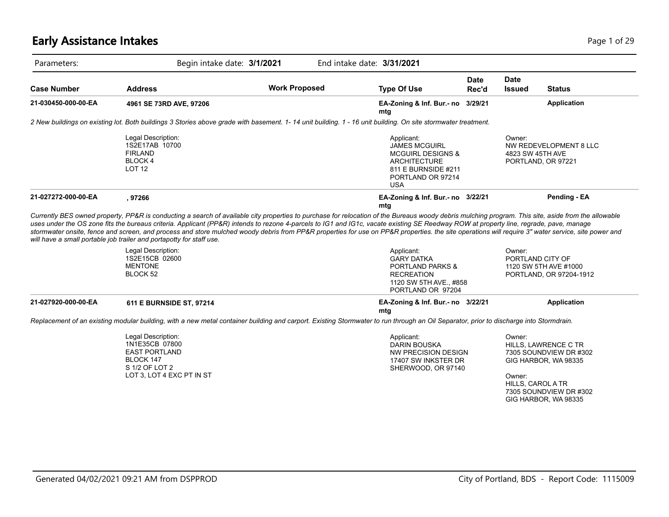# **Early Assistance Intakes** Page 1 of 29

|                     |                                                                                                                                                                                                                                                                                                                                                                                              | Begin intake date: 3/1/2021 | End intake date: 3/31/2021                                                                                                                          |               |                              |                                                  |
|---------------------|----------------------------------------------------------------------------------------------------------------------------------------------------------------------------------------------------------------------------------------------------------------------------------------------------------------------------------------------------------------------------------------------|-----------------------------|-----------------------------------------------------------------------------------------------------------------------------------------------------|---------------|------------------------------|--------------------------------------------------|
| <b>Case Number</b>  | <b>Address</b>                                                                                                                                                                                                                                                                                                                                                                               | <b>Work Proposed</b>        | <b>Type Of Use</b>                                                                                                                                  | Date<br>Rec'd | <b>Date</b><br><b>Issued</b> | <b>Status</b>                                    |
| 21-030450-000-00-EA | 4961 SE 73RD AVE, 97206                                                                                                                                                                                                                                                                                                                                                                      |                             | EA-Zoning & Inf. Bur.- no 3/29/21<br>mtg                                                                                                            |               |                              | Application                                      |
|                     | 2 New buildings on existing lot. Both buildings 3 Stories above grade with basement. 1-14 unit building. 1 - 16 unit building. On site stormwater treatment.                                                                                                                                                                                                                                 |                             |                                                                                                                                                     |               |                              |                                                  |
|                     | Legal Description:<br>1S2E17AB 10700<br><b>FIRLAND</b><br><b>BLOCK4</b><br><b>LOT 12</b>                                                                                                                                                                                                                                                                                                     |                             | Applicant:<br><b>JAMES MCGUIRL</b><br><b>MCGUIRL DESIGNS &amp;</b><br><b>ARCHITECTURE</b><br>811 E BURNSIDE #211<br>PORTLAND OR 97214<br><b>USA</b> |               | Owner:<br>4823 SW 45TH AVE   | NW REDEVELOPMENT 8 LLC<br>PORTLAND, OR 97221     |
| 21-027272-000-00-EA | , 97266                                                                                                                                                                                                                                                                                                                                                                                      |                             | EA-Zoning & Inf. Bur.- no 3/22/21<br>mtg                                                                                                            |               |                              | Pending - EA                                     |
|                     | uses under the OS zone fits the bureaus criteria. Applicant (PP&R) intends to rezone 4-parcels to IG1 and IG1c, vacate existing SE Reedway ROW at property line, regrade, pave, manage<br>stormwater onsite, fence and screen, and process and store mulched woody debris from PP&R properties for use on PP&R properties. the site operations will require 3" water service, site power and |                             |                                                                                                                                                     |               |                              |                                                  |
|                     | will have a small portable job trailer and portapotty for staff use.<br>Legal Description:<br>1S2E15CB 02600<br><b>MENTONE</b><br>BLOCK 52                                                                                                                                                                                                                                                   |                             | Applicant:<br><b>GARY DATKA</b><br>PORTLAND PARKS &<br><b>RECREATION</b><br>1120 SW 5TH AVE., #858<br>PORTLAND OR 97204                             |               | Owner:<br>PORTLAND CITY OF   | 1120 SW 5TH AVE #1000<br>PORTLAND, OR 97204-1912 |
| 21-027920-000-00-EA | 611 E BURNSIDE ST, 97214                                                                                                                                                                                                                                                                                                                                                                     |                             | EA-Zoning & Inf. Bur.- no 3/22/21                                                                                                                   |               |                              | Application                                      |
|                     | Replacement of an existing modular building, with a new metal container building and carport. Existing Stormwater to run through an Oil Separator, prior to discharge into Stormdrain.                                                                                                                                                                                                       |                             | mtg                                                                                                                                                 |               |                              |                                                  |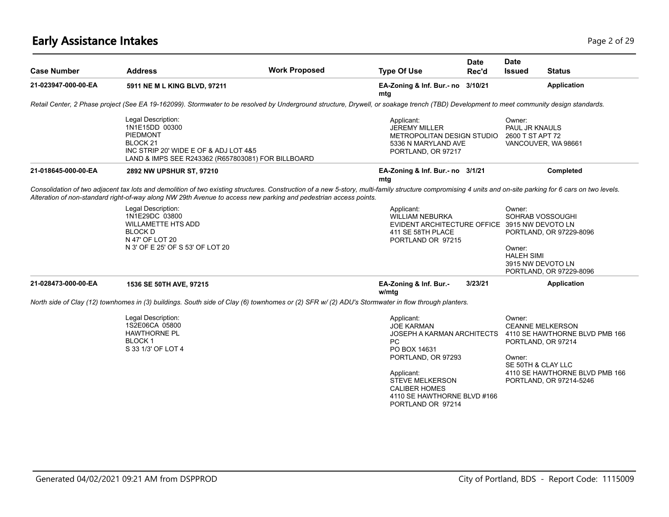# **Early Assistance Intakes** Page 2 of 29

| <b>Case Number</b>  | <b>Address</b>                                                                                                                             | <b>Work Proposed</b>                                                                                                                                                                                                                                                                                                           | <b>Type Of Use</b>                                                                                                                                                                                                            | <b>Date</b><br>Rec'd | <b>Date</b><br><b>Issued</b>                 | <b>Status</b>                                                                                                                                                      |
|---------------------|--------------------------------------------------------------------------------------------------------------------------------------------|--------------------------------------------------------------------------------------------------------------------------------------------------------------------------------------------------------------------------------------------------------------------------------------------------------------------------------|-------------------------------------------------------------------------------------------------------------------------------------------------------------------------------------------------------------------------------|----------------------|----------------------------------------------|--------------------------------------------------------------------------------------------------------------------------------------------------------------------|
|                     |                                                                                                                                            |                                                                                                                                                                                                                                                                                                                                |                                                                                                                                                                                                                               |                      |                                              |                                                                                                                                                                    |
| 21-023947-000-00-EA | 5911 NE M L KING BLVD, 97211                                                                                                               |                                                                                                                                                                                                                                                                                                                                | EA-Zoning & Inf. Bur. - no 3/10/21<br>mtg                                                                                                                                                                                     |                      |                                              | <b>Application</b>                                                                                                                                                 |
|                     |                                                                                                                                            | Retail Center, 2 Phase project (See EA 19-162099). Stormwater to be resolved by Underground structure, Drywell, or soakage trench (TBD) Development to meet community design standards.                                                                                                                                        |                                                                                                                                                                                                                               |                      |                                              |                                                                                                                                                                    |
|                     | Legal Description:<br>1N1E15DD 00300<br><b>PIEDMONT</b><br>BLOCK 21<br>INC STRIP 20' WIDE E OF & ADJ LOT 4&5                               | LAND & IMPS SEE R243362 (R657803081) FOR BILLBOARD                                                                                                                                                                                                                                                                             | Applicant:<br><b>JEREMY MILLER</b><br>METROPOLITAN DESIGN STUDIO<br>5336 N MARYLAND AVE<br>PORTLAND, OR 97217                                                                                                                 |                      | Owner:<br>PAUL JR KNAULS<br>2600 T ST APT 72 | VANCOUVER, WA 98661                                                                                                                                                |
| 21-018645-000-00-EA | 2892 NW UPSHUR ST, 97210                                                                                                                   |                                                                                                                                                                                                                                                                                                                                | EA-Zoning & Inf. Bur.- no 3/1/21<br>mtg                                                                                                                                                                                       |                      |                                              | Completed                                                                                                                                                          |
|                     |                                                                                                                                            | Consolidation of two adjacent tax lots and demolition of two existing structures. Construction of a new 5-story, multi-family structure compromising 4 units and on-site parking for 6 cars on two levels.<br>Alteration of non-standard right-of-way along NW 29th Avenue to access new parking and pedestrian access points. |                                                                                                                                                                                                                               |                      |                                              |                                                                                                                                                                    |
|                     | Legal Description:<br>1N1E29DC 03800<br><b>WILLAMETTE HTS ADD</b><br><b>BLOCK D</b><br>N 47' OF LOT 20<br>N 3' OF E 25' OF S 53' OF LOT 20 |                                                                                                                                                                                                                                                                                                                                | Applicant:<br><b>WILLIAM NEBURKA</b><br>EVIDENT ARCHITECTURE OFFICE 3915 NW DEVOTO LN<br>411 SE 58TH PLACE<br>PORTLAND OR 97215                                                                                               |                      | Owner:<br>Owner:<br><b>HALEH SIMI</b>        | SOHRAB VOSSOUGHI<br>PORTLAND, OR 97229-8096<br>3915 NW DEVOTO LN<br>PORTLAND, OR 97229-8096                                                                        |
| 21-028473-000-00-EA | 1536 SE 50TH AVE, 97215                                                                                                                    |                                                                                                                                                                                                                                                                                                                                | EA-Zoning & Inf. Bur.-<br>w/mtg                                                                                                                                                                                               | 3/23/21              |                                              | Application                                                                                                                                                        |
|                     |                                                                                                                                            | North side of Clay (12) townhomes in (3) buildings. South side of Clay (6) townhomes or (2) SFR w/ (2) ADU's Stormwater in flow through planters.                                                                                                                                                                              |                                                                                                                                                                                                                               |                      |                                              |                                                                                                                                                                    |
|                     | Legal Description:<br>1S2E06CA 05800<br><b>HAWTHORNE PL</b><br>BLOCK 1<br>S 33 1/3' OF LOT 4                                               |                                                                                                                                                                                                                                                                                                                                | Applicant:<br><b>JOE KARMAN</b><br>JOSEPH A KARMAN ARCHITECTS<br>PC<br>PO BOX 14631<br>PORTLAND, OR 97293<br>Applicant:<br><b>STEVE MELKERSON</b><br><b>CALIBER HOMES</b><br>4110 SE HAWTHORNE BLVD #166<br>PORTLAND OR 97214 |                      | Owner:<br>Owner:                             | <b>CEANNE MELKERSON</b><br>4110 SE HAWTHORNE BLVD PMB 166<br>PORTLAND, OR 97214<br>SE 50TH & CLAY LLC<br>4110 SE HAWTHORNE BLVD PMB 166<br>PORTLAND, OR 97214-5246 |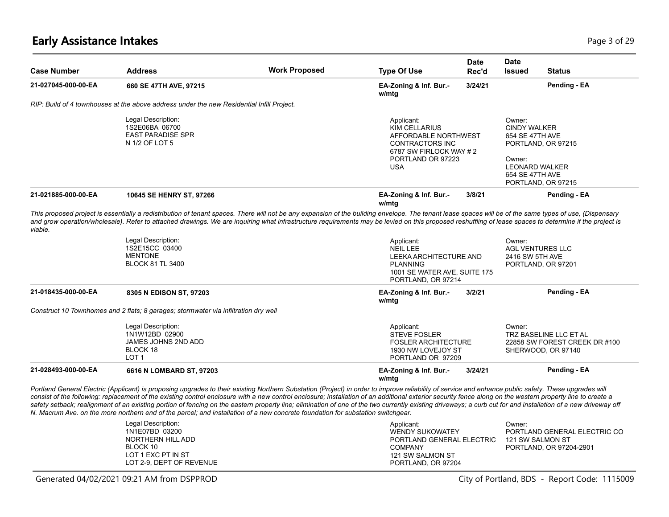### **Early Assistance Intakes** Page 3 of 29

| <b>Case Number</b>  | <b>Address</b>                                                                                                                                                                                                                                                                                                                                                                                                    | <b>Work Proposed</b> | <b>Type Of Use</b>                                                                                                                                | <b>Date</b><br>Rec'd | <b>Date</b><br><b>Issued</b><br><b>Status</b>                                                                                                      |  |
|---------------------|-------------------------------------------------------------------------------------------------------------------------------------------------------------------------------------------------------------------------------------------------------------------------------------------------------------------------------------------------------------------------------------------------------------------|----------------------|---------------------------------------------------------------------------------------------------------------------------------------------------|----------------------|----------------------------------------------------------------------------------------------------------------------------------------------------|--|
| 21-027045-000-00-EA | 660 SE 47TH AVE, 97215                                                                                                                                                                                                                                                                                                                                                                                            |                      | EA-Zoning & Inf. Bur.-<br>w/mtg                                                                                                                   | 3/24/21              | Pending - EA                                                                                                                                       |  |
|                     | RIP: Build of 4 townhouses at the above address under the new Residential Infill Project.                                                                                                                                                                                                                                                                                                                         |                      |                                                                                                                                                   |                      |                                                                                                                                                    |  |
|                     | Legal Description:<br>1S2E06BA 06700<br><b>EAST PARADISE SPR</b><br>N 1/2 OF LOT 5                                                                                                                                                                                                                                                                                                                                |                      | Applicant:<br><b>KIM CELLARIUS</b><br>AFFORDABLE NORTHWEST<br><b>CONTRACTORS INC</b><br>6787 SW FIRLOCK WAY #2<br>PORTLAND OR 97223<br><b>USA</b> |                      | Owner:<br><b>CINDY WALKER</b><br>654 SE 47TH AVE<br>PORTLAND, OR 97215<br>Owner:<br><b>LEONARD WALKER</b><br>654 SE 47TH AVE<br>PORTLAND, OR 97215 |  |
| 21-021885-000-00-EA | 10645 SE HENRY ST, 97266                                                                                                                                                                                                                                                                                                                                                                                          |                      | EA-Zoning & Inf. Bur.-<br>w/mtg                                                                                                                   | 3/8/21               | Pending - EA                                                                                                                                       |  |
|                     |                                                                                                                                                                                                                                                                                                                                                                                                                   |                      |                                                                                                                                                   |                      |                                                                                                                                                    |  |
| viable.             | This proposed project is essentially a redistribution of tenant spaces. There will not be any expansion of the building envelope. The tenant lease spaces will be of the same types of use, (Dispensary<br>and grow operation/wholesale). Refer to attached drawings. We are inquiring what infrastructure requirements may be levied on this proposed reshuffling of lease spaces to determine if the project is |                      |                                                                                                                                                   |                      |                                                                                                                                                    |  |
|                     | Legal Description:<br>1S2E15CC 03400<br><b>MENTONE</b><br><b>BLOCK 81 TL 3400</b>                                                                                                                                                                                                                                                                                                                                 |                      | Applicant:<br><b>NEIL LEE</b><br>LEEKA ARCHITECTURE AND<br><b>PLANNING</b><br>1001 SE WATER AVE, SUITE 175<br>PORTLAND, OR 97214                  |                      | Owner:<br><b>AGL VENTURES LLC</b><br>2416 SW 5TH AVE<br>PORTLAND, OR 97201                                                                         |  |
| 21-018435-000-00-EA | 8305 N EDISON ST, 97203                                                                                                                                                                                                                                                                                                                                                                                           |                      | EA-Zoning & Inf. Bur.-<br>w/mtg                                                                                                                   | 3/2/21               | Pending - EA                                                                                                                                       |  |
|                     | Construct 10 Townhomes and 2 flats; 8 garages; stormwater via infiltration dry well                                                                                                                                                                                                                                                                                                                               |                      |                                                                                                                                                   |                      |                                                                                                                                                    |  |
|                     | Legal Description:<br>1N1W12BD 02900<br>JAMES JOHNS 2ND ADD<br>BLOCK 18<br>LOT <sub>1</sub>                                                                                                                                                                                                                                                                                                                       |                      | Applicant:<br><b>STEVE FOSLER</b><br><b>FOSLER ARCHITECTURE</b><br>1930 NW LOVEJOY ST<br>PORTLAND OR 97209                                        |                      | Owner:<br>TRZ BASELINE LLC ET AL<br>22858 SW FOREST CREEK DR #100<br>SHERWOOD, OR 97140                                                            |  |

*N. Macrum Ave. on the more northern end of the parcel; and installation of a new concrete foundation for substation switchgear.*

| Legal Description:<br>Applicant:<br>Owner:                         |  |
|--------------------------------------------------------------------|--|
| 1N1E07BD 03200<br>PORTLAND GENERAL ELECTRIC CO<br>WENDY SUKOWATEY  |  |
| NORTHERN HILL ADD<br>PORTLAND GENERAL ELECTRIC<br>121 SW SALMON ST |  |
| BLOCK 10<br>PORTLAND, OR 97204-2901<br><b>COMPANY</b>              |  |
| LOT 1 EXC PT IN ST<br>121 SW SALMON ST                             |  |
| LOT 2-9. DEPT OF REVENUE<br>PORTLAND, OR 97204                     |  |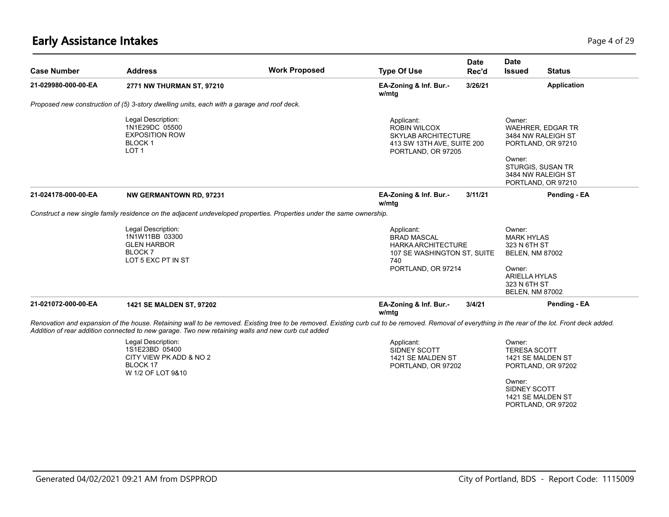# **Early Assistance Intakes** Page 4 of 29

| <b>Case Number</b>  | <b>Address</b>                                                                                                                                                                                                                                                                                          | <b>Work Proposed</b> | <b>Type Of Use</b>                                                                                                  | <b>Date</b><br>Rec'd | <b>Date</b><br><b>Issued</b>                                                                                            | <b>Status</b>            |
|---------------------|---------------------------------------------------------------------------------------------------------------------------------------------------------------------------------------------------------------------------------------------------------------------------------------------------------|----------------------|---------------------------------------------------------------------------------------------------------------------|----------------------|-------------------------------------------------------------------------------------------------------------------------|--------------------------|
| 21-029980-000-00-EA | 2771 NW THURMAN ST, 97210                                                                                                                                                                                                                                                                               |                      | EA-Zoning & Inf. Bur.-<br>w/mtg                                                                                     | 3/26/21              |                                                                                                                         | Application              |
|                     | Proposed new construction of (5) 3-story dwelling units, each with a garage and roof deck.                                                                                                                                                                                                              |                      |                                                                                                                     |                      |                                                                                                                         |                          |
|                     | Legal Description:<br>1N1E29DC 05500<br><b>EXPOSITION ROW</b><br><b>BLOCK1</b><br>LOT <sub>1</sub>                                                                                                                                                                                                      |                      | Applicant:<br><b>ROBIN WILCOX</b><br><b>SKYLAB ARCHITECTURE</b><br>413 SW 13TH AVE, SUITE 200<br>PORTLAND, OR 97205 |                      | Owner:<br>3484 NW RALEIGH ST<br>PORTLAND, OR 97210                                                                      | <b>WAEHRER, EDGAR TR</b> |
|                     |                                                                                                                                                                                                                                                                                                         |                      |                                                                                                                     |                      | Owner:<br><b>STURGIS, SUSAN TR</b><br>3484 NW RALEIGH ST<br>PORTLAND, OR 97210                                          |                          |
| 21-024178-000-00-EA | <b>NW GERMANTOWN RD, 97231</b>                                                                                                                                                                                                                                                                          |                      | EA-Zoning & Inf. Bur.-<br>w/mtg                                                                                     | 3/11/21              |                                                                                                                         | Pending - EA             |
|                     | Construct a new single family residence on the adjacent undeveloped properties. Properties under the same ownership.                                                                                                                                                                                    |                      |                                                                                                                     |                      |                                                                                                                         |                          |
|                     | Legal Description:<br>1N1W11BB 03300<br><b>GLEN HARBOR</b><br>BLOCK <sub>7</sub><br>LOT 5 EXC PT IN ST                                                                                                                                                                                                  |                      | Applicant:<br><b>BRAD MASCAL</b><br>HARKA ARCHITECTURE<br>107 SE WASHINGTON ST, SUITE<br>740<br>PORTLAND, OR 97214  |                      | Owner:<br><b>MARK HYLAS</b><br>323 N 6TH ST<br><b>BELEN, NM 87002</b><br>Owner:<br><b>ARIELLA HYLAS</b><br>323 N 6TH ST |                          |
| 21-021072-000-00-EA | 1421 SE MALDEN ST, 97202                                                                                                                                                                                                                                                                                |                      | EA-Zoning & Inf. Bur.-<br>w/mtg                                                                                     | 3/4/21               | <b>BELEN, NM 87002</b>                                                                                                  | Pending - EA             |
|                     | Renovation and expansion of the house. Retaining wall to be removed. Existing tree to be removed. Existing curb cut to be removed. Removal of everything in the rear of the lot. Front deck added.<br>Addition of rear addition connected to new garage. Two new retaining walls and new curb cut added |                      |                                                                                                                     |                      |                                                                                                                         |                          |
|                     | Legal Description:<br>1S1E23BD 05400<br>CITY VIEW PK ADD & NO 2<br>BLOCK 17<br>W 1/2 OF LOT 9&10                                                                                                                                                                                                        |                      | Applicant:<br>SIDNEY SCOTT<br>1421 SE MALDEN ST<br>PORTLAND, OR 97202                                               |                      | Owner:<br><b>TERESA SCOTT</b><br>1421 SE MALDEN ST<br>PORTLAND, OR 97202                                                |                          |
|                     |                                                                                                                                                                                                                                                                                                         |                      |                                                                                                                     |                      | Owner:<br>SIDNEY SCOTT                                                                                                  |                          |

1421 SE MALDEN ST PORTLAND, OR 97202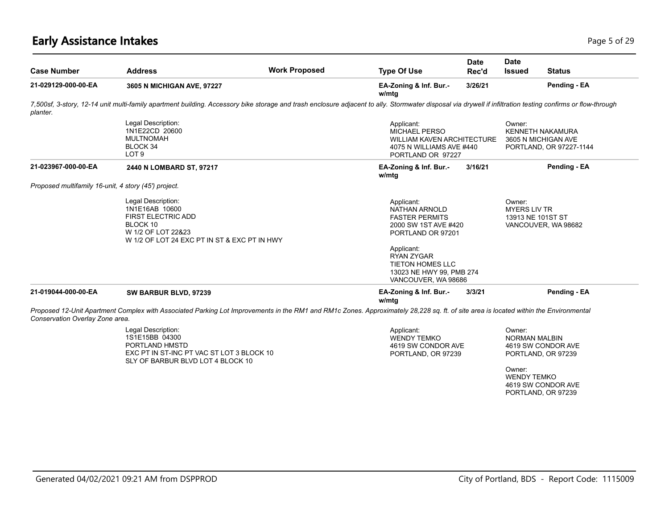#### **Early Assistance Intakes** Page 5 of 29

| <b>Case Number</b>                                   | <b>Address</b>                                                                                                                                      | <b>Work Proposed</b>                                                                                                                                                                                        | <b>Type Of Use</b>                                                                                                | <b>Date</b><br>Rec'd | <b>Date</b><br><b>Issued</b>                       | <b>Status</b>                                                             |
|------------------------------------------------------|-----------------------------------------------------------------------------------------------------------------------------------------------------|-------------------------------------------------------------------------------------------------------------------------------------------------------------------------------------------------------------|-------------------------------------------------------------------------------------------------------------------|----------------------|----------------------------------------------------|---------------------------------------------------------------------------|
| 21-029129-000-00-EA                                  | 3605 N MICHIGAN AVE, 97227                                                                                                                          |                                                                                                                                                                                                             | EA-Zoning & Inf. Bur.-<br>w/mtg                                                                                   | 3/26/21              |                                                    | Pending - EA                                                              |
| planter.                                             |                                                                                                                                                     | 7,500sf, 3-story, 12-14 unit multi-family apartment building. Accessory bike storage and trash enclosure adjacent to ally. Stormwater disposal via drywell if infiltration testing confirms or flow-through |                                                                                                                   |                      |                                                    |                                                                           |
|                                                      | Legal Description:<br>1N1E22CD 20600<br><b>MULTNOMAH</b><br>BLOCK 34<br>LOT <sub>9</sub>                                                            |                                                                                                                                                                                                             | Applicant:<br>MICHAEL PERSO<br><b>WILLIAM KAVEN ARCHITECTURE</b><br>4075 N WILLIAMS AVE #440<br>PORTLAND OR 97227 |                      | Owner:                                             | <b>KENNETH NAKAMURA</b><br>3605 N MICHIGAN AVE<br>PORTLAND, OR 97227-1144 |
| 21-023967-000-00-EA                                  | 2440 N LOMBARD ST, 97217                                                                                                                            |                                                                                                                                                                                                             | EA-Zoning & Inf. Bur.-<br>w/mtg                                                                                   | 3/16/21              |                                                    | Pending - EA                                                              |
| Proposed multifamily 16-unit, 4 story (45') project. |                                                                                                                                                     |                                                                                                                                                                                                             |                                                                                                                   |                      |                                                    |                                                                           |
|                                                      | Legal Description:<br>1N1E16AB 10600<br><b>FIRST ELECTRIC ADD</b><br>BLOCK 10<br>W 1/2 OF LOT 22&23<br>W 1/2 OF LOT 24 EXC PT IN ST & EXC PT IN HWY |                                                                                                                                                                                                             | Applicant:<br>NATHAN ARNOLD<br><b>FASTER PERMITS</b><br>2000 SW 1ST AVE #420<br>PORTLAND OR 97201                 |                      | Owner:<br><b>MYERS LIV TR</b><br>13913 NE 101ST ST | VANCOUVER, WA 98682                                                       |
|                                                      |                                                                                                                                                     |                                                                                                                                                                                                             | Applicant:<br><b>RYAN ZYGAR</b><br><b>TIETON HOMES LLC</b><br>13023 NE HWY 99, PMB 274<br>VANCOUVER, WA 98686     |                      |                                                    |                                                                           |
| 21-019044-000-00-EA                                  | SW BARBUR BLVD, 97239                                                                                                                               |                                                                                                                                                                                                             | EA-Zoning & Inf. Bur.-<br>w/mtg                                                                                   | 3/3/21               |                                                    | Pending - EA                                                              |
|                                                      |                                                                                                                                                     | Proposed 12-Unit Apartment Complex with Associated Parking Lot Improvements in the RM1 and RM1c Zones. Approximately 28,228 sq. ft. of site area is located within the Environmental                        |                                                                                                                   |                      |                                                    |                                                                           |

*Conservation Overlay Zone area.*

| Legal Description:                        |
|-------------------------------------------|
| 1S1E15BB 04300                            |
| PORTLAND HMSTD                            |
| EXC PT IN ST-INC PT VAC ST LOT 3 BLOCK 10 |
| SLY OF BARBUR BLVD LOT 4 BLOCK 10         |
|                                           |

Applicant: WENDY TEMKO 4619 SW CONDOR AVE PORTLAND, OR 97239

Owner: NORMAN MALBIN 4619 SW CONDOR AVE PORTLAND, OR 97239

Owner: WENDY TEMKO 4619 SW CONDOR AVE PORTLAND, OR 97239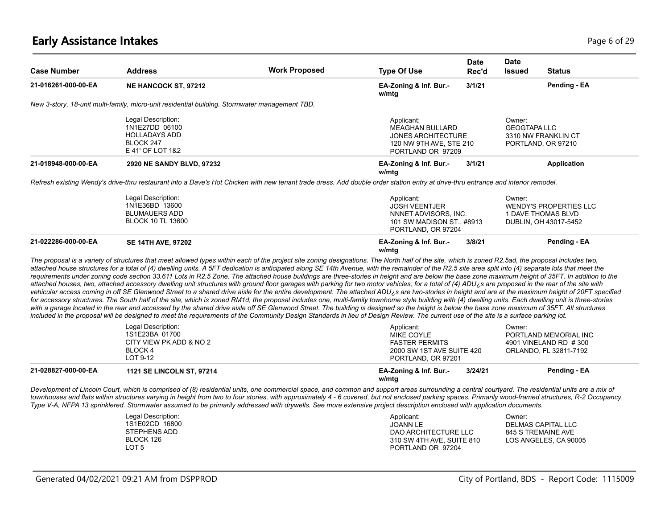# **Early Assistance Intakes** Page 6 of 29

| <b>Case Number</b>  | <b>Address</b>                                                                                                                                                                                                                                                                                                                                                                                                                                                                                                                                                                                                                                                                                                                                                                                                                                                                                                                                                                                                                                                                                                                                                                                                                                                                                                                                                                                                                                                                                                                                                                                                                      | <b>Work Proposed</b> | <b>Type Of Use</b>                                                                                                | <b>Date</b><br>Rec'd | Date<br><b>Issued</b>         | <b>Status</b>                                                                |
|---------------------|-------------------------------------------------------------------------------------------------------------------------------------------------------------------------------------------------------------------------------------------------------------------------------------------------------------------------------------------------------------------------------------------------------------------------------------------------------------------------------------------------------------------------------------------------------------------------------------------------------------------------------------------------------------------------------------------------------------------------------------------------------------------------------------------------------------------------------------------------------------------------------------------------------------------------------------------------------------------------------------------------------------------------------------------------------------------------------------------------------------------------------------------------------------------------------------------------------------------------------------------------------------------------------------------------------------------------------------------------------------------------------------------------------------------------------------------------------------------------------------------------------------------------------------------------------------------------------------------------------------------------------------|----------------------|-------------------------------------------------------------------------------------------------------------------|----------------------|-------------------------------|------------------------------------------------------------------------------|
| 21-016261-000-00-EA | <b>NE HANCOCK ST, 97212</b>                                                                                                                                                                                                                                                                                                                                                                                                                                                                                                                                                                                                                                                                                                                                                                                                                                                                                                                                                                                                                                                                                                                                                                                                                                                                                                                                                                                                                                                                                                                                                                                                         |                      | EA-Zoning & Inf. Bur.-<br>w/mtg                                                                                   | 3/1/21               |                               | Pending - EA                                                                 |
|                     | New 3-story, 18-unit multi-family, micro-unit residential building. Stormwater management TBD.                                                                                                                                                                                                                                                                                                                                                                                                                                                                                                                                                                                                                                                                                                                                                                                                                                                                                                                                                                                                                                                                                                                                                                                                                                                                                                                                                                                                                                                                                                                                      |                      |                                                                                                                   |                      |                               |                                                                              |
|                     | Legal Description:<br>1N1E27DD 06100<br><b>HOLLADAYS ADD</b><br>BLOCK 247<br>E 41' OF LOT 1&2                                                                                                                                                                                                                                                                                                                                                                                                                                                                                                                                                                                                                                                                                                                                                                                                                                                                                                                                                                                                                                                                                                                                                                                                                                                                                                                                                                                                                                                                                                                                       |                      | Applicant:<br><b>MEAGHAN BULLARD</b><br><b>JONES ARCHITECTURE</b><br>120 NW 9TH AVE, STE 210<br>PORTLAND OR 97209 |                      | Owner:<br><b>GEOGTAPA LLC</b> | 3310 NW FRANKLIN CT<br>PORTLAND, OR 97210                                    |
| 21-018948-000-00-EA | 2920 NE SANDY BLVD, 97232                                                                                                                                                                                                                                                                                                                                                                                                                                                                                                                                                                                                                                                                                                                                                                                                                                                                                                                                                                                                                                                                                                                                                                                                                                                                                                                                                                                                                                                                                                                                                                                                           |                      | EA-Zoning & Inf. Bur.-<br>w/mtg                                                                                   | 3/1/21               |                               | <b>Application</b>                                                           |
|                     | Refresh existing Wendy's drive-thru restaurant into a Dave's Hot Chicken with new tenant trade dress. Add double order station entry at drive-thru entrance and interior remodel.                                                                                                                                                                                                                                                                                                                                                                                                                                                                                                                                                                                                                                                                                                                                                                                                                                                                                                                                                                                                                                                                                                                                                                                                                                                                                                                                                                                                                                                   |                      |                                                                                                                   |                      |                               |                                                                              |
|                     | Legal Description:<br>1N1E36BD 13600<br><b>BLUMAUERS ADD</b><br><b>BLOCK 10 TL 13600</b>                                                                                                                                                                                                                                                                                                                                                                                                                                                                                                                                                                                                                                                                                                                                                                                                                                                                                                                                                                                                                                                                                                                                                                                                                                                                                                                                                                                                                                                                                                                                            |                      | Applicant:<br><b>JOSH VEENTJER</b><br>NNNET ADVISORS, INC.<br>101 SW MADISON ST., #8913<br>PORTLAND, OR 97204     |                      | Owner:                        | <b>WENDY'S PROPERTIES LLC</b><br>1 DAVE THOMAS BLVD<br>DUBLIN, OH 43017-5452 |
| 21-022286-000-00-EA | <b>SE 14TH AVE, 97202</b>                                                                                                                                                                                                                                                                                                                                                                                                                                                                                                                                                                                                                                                                                                                                                                                                                                                                                                                                                                                                                                                                                                                                                                                                                                                                                                                                                                                                                                                                                                                                                                                                           |                      | EA-Zoning & Inf. Bur.-<br>w/mtg                                                                                   | 3/8/21               |                               | Pending - EA                                                                 |
|                     | The proposal is a variety of structures that meet allowed types within each of the project site zoning designations. The North half of the site, which is zoned R2.5ad, the proposal includes two,<br>attached house structures for a total of (4) dwelling units. A 5FT dedication is anticipated along SE 14th Avenue, with the remainder of the R2.5 site area split into (4) separate lots that meet the<br>requirements under zoning code section 33.611 Lots in R2.5 Zone. The attached house buildings are three-stories in height and are below the base zone maximum height of 35FT. In addition to the<br>attached houses, two, attached accessory dwelling unit structures with ground floor garages with parking for two motor vehicles, for a total of (4) ADU; s are proposed in the rear of the site with<br>vehicular access coming in off SE Glenwood Street to a shared drive aisle for the entire development. The attached ADU¿s are two-stories in height and are at the maximum height of 20FT specified<br>for accessory structures. The South half of the site, which is zoned RM1d, the proposal includes one, multi-family townhome style building with (4) dwelling units. Each dwelling unit is three-stories<br>with a garage located in the rear and accessed by the shared drive aisle off SE Glenwood Street. The building is designed so the height is below the base zone maximum of 35FT. All structures<br>included in the proposal will be designed to meet the requirements of the Community Design Standards in lieu of Design Review. The current use of the site is a surface parking lot. |                      |                                                                                                                   |                      |                               |                                                                              |
|                     | Legal Description:<br>1S1E23BA 01700<br>CITY VIEW PK ADD & NO 2<br>BLOCK 4<br>LOT 9-12                                                                                                                                                                                                                                                                                                                                                                                                                                                                                                                                                                                                                                                                                                                                                                                                                                                                                                                                                                                                                                                                                                                                                                                                                                                                                                                                                                                                                                                                                                                                              |                      | Applicant:<br><b>MIKE COYLE</b><br><b>FASTER PERMITS</b><br>2000 SW 1ST AVE SUITE 420<br>PORTLAND, OR 97201       |                      | Owner:                        | PORTLAND MEMORIAL INC<br>4901 VINELAND RD #300<br>ORLANDO, FL 32811-7192     |
| 21-028827-000-00-EA | <b>1121 SE LINCOLN ST, 97214</b>                                                                                                                                                                                                                                                                                                                                                                                                                                                                                                                                                                                                                                                                                                                                                                                                                                                                                                                                                                                                                                                                                                                                                                                                                                                                                                                                                                                                                                                                                                                                                                                                    |                      | EA-Zoning & Inf. Bur.-<br>w/mtg                                                                                   | 3/24/21              |                               | Pending - EA                                                                 |
|                     | Development of Lincoln Court, which is comprised of (8) residential units, one commercial space, and common and support areas surrounding a central courtyard. The residential units are a mix of<br>townhouses and flats within structures varying in height from two to four stories, with approximately 4 - 6 covered, but not enclosed parking spaces. Primarily wood-framed structures, R-2 Occupancy,<br>Type V-A, NFPA 13 sprinklered. Stormwater assumed to be primarily addressed with drywells. See more extensive project description enclosed with application documents.                                                                                                                                                                                                                                                                                                                                                                                                                                                                                                                                                                                                                                                                                                                                                                                                                                                                                                                                                                                                                                               |                      |                                                                                                                   |                      |                               |                                                                              |
|                     | Legal Description:<br>1S1E02CD 16800<br><b>STEPHENS ADD</b><br>BLOCK 126<br>LOT <sub>5</sub>                                                                                                                                                                                                                                                                                                                                                                                                                                                                                                                                                                                                                                                                                                                                                                                                                                                                                                                                                                                                                                                                                                                                                                                                                                                                                                                                                                                                                                                                                                                                        |                      | Applicant:<br><b>JOANN LE</b><br>DAO ARCHITECTURE LLC<br>310 SW 4TH AVE, SUITE 810<br>PORTLAND OR 97204           |                      | Owner:                        | <b>DELMAS CAPITAL LLC</b><br>845 S TREMAINE AVE<br>LOS ANGELES, CA 90005     |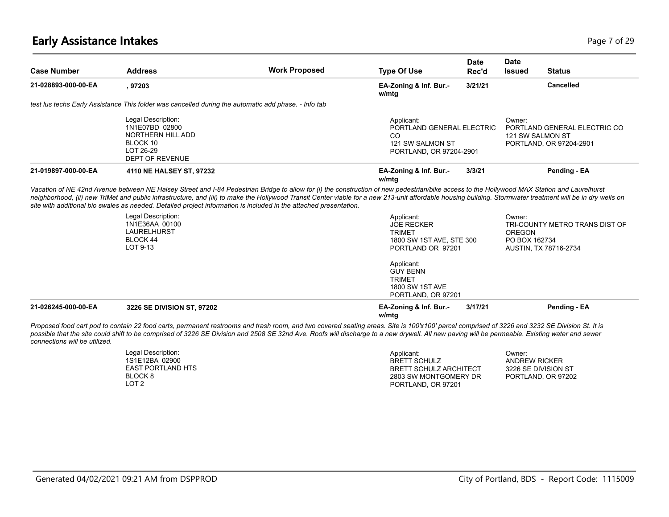### **Early Assistance Intakes** Page 7 of 29

| <b>Case Number</b>            | <b>Address</b>                                                                                                                                                                                                                                                                                                                                                                                                                | <b>Work Proposed</b> | <b>Type Of Use</b>                                                                                | <b>Date</b><br>Rec'd | <b>Date</b><br><b>Issued</b>                          | <b>Status</b>                                           |
|-------------------------------|-------------------------------------------------------------------------------------------------------------------------------------------------------------------------------------------------------------------------------------------------------------------------------------------------------------------------------------------------------------------------------------------------------------------------------|----------------------|---------------------------------------------------------------------------------------------------|----------------------|-------------------------------------------------------|---------------------------------------------------------|
| 21-028893-000-00-EA           | ,97203                                                                                                                                                                                                                                                                                                                                                                                                                        |                      | EA-Zoning & Inf. Bur.-<br>w/mtg                                                                   | 3/21/21              |                                                       | <b>Cancelled</b>                                        |
|                               | test lus techs Early Assistance This folder was cancelled during the automatic add phase. - Info tab                                                                                                                                                                                                                                                                                                                          |                      |                                                                                                   |                      |                                                       |                                                         |
|                               | Legal Description:<br>1N1E07BD 02800<br>NORTHERN HILL ADD<br>BLOCK 10<br>LOT 26-29<br><b>DEPT OF REVENUE</b>                                                                                                                                                                                                                                                                                                                  |                      | Applicant:<br>PORTLAND GENERAL ELECTRIC<br>CO<br>121 SW SALMON ST<br>PORTLAND, OR 97204-2901      |                      | Owner:<br>121 SW SALMON ST                            | PORTLAND GENERAL ELECTRIC CO<br>PORTLAND, OR 97204-2901 |
| 21-019897-000-00-EA           | 4110 NE HALSEY ST, 97232                                                                                                                                                                                                                                                                                                                                                                                                      |                      | EA-Zoning & Inf. Bur.-<br>w/mtg                                                                   | 3/3/21               |                                                       | Pending - EA                                            |
|                               | neighborhood, (ii) new TriMet and public infrastructure, and (iii) to make the Hollywood Transit Center viable for a new 213-unit affordable housing building. Stormwater treatment will be in dry wells on<br>site with additional bio swales as needed. Detailed project information is included in the attached presentation.<br>Legal Description:<br>1N1E36AA 00100<br><b>LAURELHURST</b><br><b>BLOCK 44</b><br>LOT 9-13 |                      | Applicant:<br><b>JOE RECKER</b><br><b>TRIMET</b><br>1800 SW 1ST AVE, STE 300<br>PORTLAND OR 97201 |                      | Owner:<br><b>OREGON</b><br>PO BOX 162734              | TRI-COUNTY METRO TRANS DIST OF<br>AUSTIN, TX 78716-2734 |
|                               |                                                                                                                                                                                                                                                                                                                                                                                                                               |                      | Applicant:<br><b>GUY BENN</b><br><b>TRIMET</b><br><b>1800 SW 1ST AVE</b><br>PORTLAND, OR 97201    |                      |                                                       |                                                         |
| 21-026245-000-00-EA           | 3226 SE DIVISION ST, 97202                                                                                                                                                                                                                                                                                                                                                                                                    |                      | EA-Zoning & Inf. Bur.-<br>w/mtg                                                                   | 3/17/21              |                                                       | Pending - EA                                            |
| connections will be utilized. | Proposed food cart pod to contain 22 food carts, permanent restrooms and trash room, and two covered seating areas. Site is 100'x100' parcel comprised of 3226 and 3232 SE Division St. It is<br>possible that the site could shift to be comprised of 3226 SE Division and 2508 SE 32nd Ave. Roofs will discharge to a new drywell. All new paving will be permeable. Existing water and sewer                               |                      |                                                                                                   |                      |                                                       |                                                         |
|                               | Legal Description:<br>1S1E12BA 02900<br><b>EAST PORTLAND HTS</b>                                                                                                                                                                                                                                                                                                                                                              |                      | Applicant:<br><b>BRETT SCHULZ</b><br><b>BRETT SCHULZ ARCHITECT</b>                                |                      | Owner:<br><b>ANDREW RICKER</b><br>3226 SE DIVISION ST |                                                         |

BLOCK 8 LOT 2

PORTLAND, OR 97202

2803 SW MONTGOMERY DR PORTLAND, OR 97201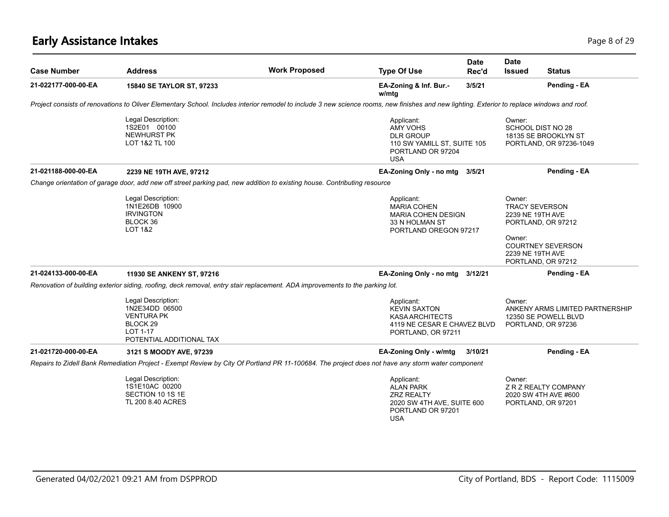# **Early Assistance Intakes** Page 8 of 29

| <b>Case Number</b>  | <b>Address</b>                                                                                                                                                                              | <b>Work Proposed</b> | <b>Type Of Use</b>                                                                                                   | <b>Date</b><br>Rec'd | <b>Date</b><br><b>Issued</b>                                  | Status                                                                        |
|---------------------|---------------------------------------------------------------------------------------------------------------------------------------------------------------------------------------------|----------------------|----------------------------------------------------------------------------------------------------------------------|----------------------|---------------------------------------------------------------|-------------------------------------------------------------------------------|
| 21-022177-000-00-EA | 15840 SE TAYLOR ST, 97233                                                                                                                                                                   |                      | EA-Zoning & Inf. Bur.-<br>w/mtg                                                                                      | 3/5/21               |                                                               | Pending - EA                                                                  |
|                     | Project consists of renovations to Oliver Elementary School. Includes interior remodel to include 3 new science rooms, new finishes and new lighting. Exterior to replace windows and roof. |                      |                                                                                                                      |                      |                                                               |                                                                               |
|                     | Legal Description:<br>1S2E01 00100<br>NEWHURST PK<br>LOT 1&2 TL 100                                                                                                                         |                      | Applicant:<br><b>AMY VOHS</b><br><b>DLR GROUP</b><br>110 SW YAMILL ST, SUITE 105<br>PORTLAND OR 97204<br><b>USA</b>  |                      | Owner:<br>SCHOOL DIST NO 28                                   | 18135 SE BROOKLYN ST<br>PORTLAND, OR 97236-1049                               |
| 21-021188-000-00-EA | 2239 NE 19TH AVE, 97212                                                                                                                                                                     |                      | EA-Zoning Only - no mtg                                                                                              | 3/5/21               |                                                               | Pending - EA                                                                  |
|                     | Change orientation of garage door, add new off street parking pad, new addition to existing house. Contributing resource                                                                    |                      |                                                                                                                      |                      |                                                               |                                                                               |
|                     | Legal Description:<br>1N1E26DB 10900<br><b>IRVINGTON</b><br>BLOCK 36<br><b>LOT 1&amp;2</b>                                                                                                  |                      | Applicant:<br><b>MARIA COHEN</b><br><b>MARIA COHEN DESIGN</b><br>33 N HOLMAN ST<br>PORTLAND OREGON 97217             |                      | Owner:<br><b>TRACY SEVERSON</b><br>2239 NE 19TH AVE<br>Owner: | PORTLAND, OR 97212                                                            |
|                     |                                                                                                                                                                                             |                      |                                                                                                                      |                      | 2239 NE 19TH AVE                                              | <b>COURTNEY SEVERSON</b><br>PORTLAND, OR 97212                                |
| 21-024133-000-00-EA | 11930 SE ANKENY ST, 97216                                                                                                                                                                   |                      | EA-Zoning Only - no mtg                                                                                              | 3/12/21              |                                                               | Pending - EA                                                                  |
|                     | Renovation of building exterior siding, roofing, deck removal, entry stair replacement. ADA improvements to the parking lot.                                                                |                      |                                                                                                                      |                      |                                                               |                                                                               |
|                     | Legal Description:<br>1N2E34DD 06500<br><b>VENTURA PK</b><br>BLOCK <sub>29</sub><br>LOT 1-17<br>POTENTIAL ADDITIONAL TAX                                                                    |                      | Applicant:<br><b>KEVIN SAXTON</b><br><b>KASA ARCHITECTS</b><br>4119 NE CESAR E CHAVEZ BLVD<br>PORTLAND, OR 97211     |                      | Owner:                                                        | ANKENY ARMS LIMITED PARTNERSHIP<br>12350 SE POWELL BLVD<br>PORTLAND, OR 97236 |
| 21-021720-000-00-EA | 3121 S MOODY AVE, 97239                                                                                                                                                                     |                      | EA-Zoning Only - w/mtg                                                                                               | 3/10/21              |                                                               | Pending - EA                                                                  |
|                     | Repairs to Zidell Bank Remediation Project - Exempt Review by City Of Portland PR 11-100684. The project does not have any storm water component                                            |                      |                                                                                                                      |                      |                                                               |                                                                               |
|                     | Legal Description:<br>1S1E10AC 00200<br>SECTION 10 1S 1E<br>TL 200 8.40 ACRES                                                                                                               |                      | Applicant:<br><b>ALAN PARK</b><br><b>ZRZ REALTY</b><br>2020 SW 4TH AVE, SUITE 600<br>PORTLAND OR 97201<br><b>USA</b> |                      | Owner:                                                        | Z R Z REALTY COMPANY<br>2020 SW 4TH AVE #600<br>PORTLAND, OR 97201            |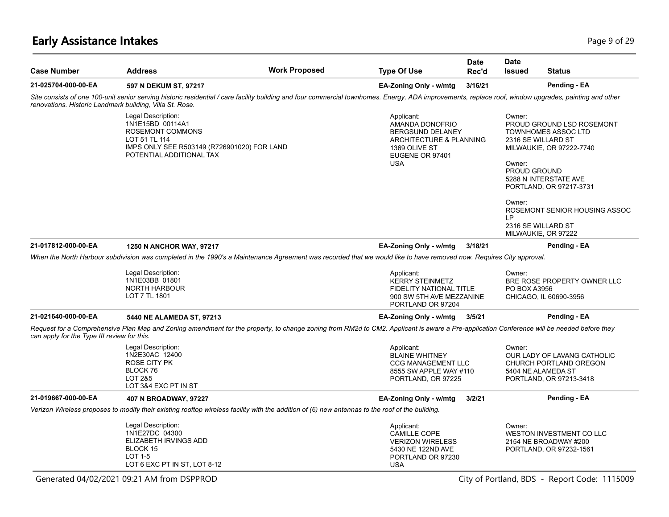# **Early Assistance Intakes** Page 9 of 29

| <b>Case Number</b>                                       | <b>Address</b>                                                                                                                                         | <b>Work Proposed</b>                                                                                                                                                                                  | <b>Type Of Use</b>                                                                                                                    | Date<br>Rec'd | <b>Date</b><br><b>Issued</b>                                                                                               | <b>Status</b>                                                                                                                                                            |
|----------------------------------------------------------|--------------------------------------------------------------------------------------------------------------------------------------------------------|-------------------------------------------------------------------------------------------------------------------------------------------------------------------------------------------------------|---------------------------------------------------------------------------------------------------------------------------------------|---------------|----------------------------------------------------------------------------------------------------------------------------|--------------------------------------------------------------------------------------------------------------------------------------------------------------------------|
| 21-025704-000-00-EA                                      | 597 N DEKUM ST, 97217                                                                                                                                  |                                                                                                                                                                                                       | EA-Zoning Only - w/mtg                                                                                                                | 3/16/21       |                                                                                                                            | Pending - EA                                                                                                                                                             |
| renovations. Historic Landmark building, Villa St. Rose. |                                                                                                                                                        | Site consists of one 100-unit senior serving historic residential / care facility building and four commercial townhomes. Energy, ADA improvements, replace roof, window upgrades, painting and other |                                                                                                                                       |               |                                                                                                                            |                                                                                                                                                                          |
|                                                          | Legal Description:<br>1N1E15BD 00114A1<br>ROSEMONT COMMONS<br>LOT 51 TL 114<br>IMPS ONLY SEE R503149 (R726901020) FOR LAND<br>POTENTIAL ADDITIONAL TAX |                                                                                                                                                                                                       | Applicant:<br>AMANDA DONOFRIO<br><b>BERGSUND DELANEY</b><br>ARCHITECTURE & PLANNING<br>1369 OLIVE ST<br>EUGENE OR 97401<br><b>USA</b> |               | Owner:<br>2316 SE WILLARD ST<br>Owner:<br><b>PROUD GROUND</b><br>Owner:<br>LP<br>2316 SE WILLARD ST<br>MILWAUKIE, OR 97222 | PROUD GROUND LSD ROSEMONT<br><b>TOWNHOMES ASSOC LTD</b><br>MILWAUKIE, OR 97222-7740<br>5288 N INTERSTATE AVE<br>PORTLAND, OR 97217-3731<br>ROSEMONT SENIOR HOUSING ASSOC |
| 21-017812-000-00-EA                                      | 1250 N ANCHOR WAY, 97217                                                                                                                               |                                                                                                                                                                                                       | EA-Zoning Only - w/mtg                                                                                                                | 3/18/21       |                                                                                                                            | Pending - EA                                                                                                                                                             |
|                                                          |                                                                                                                                                        | When the North Harbour subdivision was completed in the 1990's a Maintenance Agreement was recorded that we would like to have removed now. Requires City approval.                                   |                                                                                                                                       |               |                                                                                                                            |                                                                                                                                                                          |
|                                                          | Legal Description:<br>1N1E03BB 01801<br><b>NORTH HARBOUR</b><br>LOT 7 TL 1801                                                                          |                                                                                                                                                                                                       | Applicant:<br><b>KERRY STEINMETZ</b><br><b>FIDELITY NATIONAL TITLE</b><br>900 SW 5TH AVE MEZZANINE<br>PORTLAND OR 97204               |               | Owner:<br>PO BOX A3956                                                                                                     | BRE ROSE PROPERTY OWNER LLC<br>CHICAGO, IL 60690-3956                                                                                                                    |
| 21-021640-000-00-EA                                      | 5440 NE ALAMEDA ST, 97213                                                                                                                              |                                                                                                                                                                                                       | EA-Zoning Only - w/mtg                                                                                                                | 3/5/21        |                                                                                                                            | Pending - EA                                                                                                                                                             |
| can apply for the Type III review for this.              |                                                                                                                                                        | Request for a Comprehensive Plan Map and Zoning amendment for the property, to change zoning from RM2d to CM2. Applicant is aware a Pre-application Conference will be needed before they             |                                                                                                                                       |               |                                                                                                                            |                                                                                                                                                                          |
|                                                          | Legal Description:<br>1N2E30AC 12400<br><b>ROSE CITY PK</b><br>BLOCK 76<br><b>LOT 2&amp;5</b><br>LOT 3&4 EXC PT IN ST                                  |                                                                                                                                                                                                       | Applicant:<br><b>BLAINE WHITNEY</b><br><b>CCG MANAGEMENT LLC</b><br>8555 SW APPLE WAY #110<br>PORTLAND, OR 97225                      |               | Owner:<br>5404 NE ALAMEDA ST                                                                                               | OUR LADY OF LAVANG CATHOLIC<br>CHURCH PORTLAND OREGON<br>PORTLAND, OR 97213-3418                                                                                         |
| 21-019667-000-00-EA                                      | 407 N BROADWAY, 97227                                                                                                                                  |                                                                                                                                                                                                       | EA-Zoning Only - w/mtg                                                                                                                | 3/2/21        |                                                                                                                            | Pending - EA                                                                                                                                                             |
|                                                          |                                                                                                                                                        | Verizon Wireless proposes to modify their existing rooftop wireless facility with the addition of (6) new antennas to the roof of the building.                                                       |                                                                                                                                       |               |                                                                                                                            |                                                                                                                                                                          |
|                                                          | Legal Description:<br>1N1E27DC 04300<br>ELIZABETH IRVINGS ADD<br>BLOCK 15<br><b>LOT 1-5</b><br>LOT 6 EXC PT IN ST, LOT 8-12                            |                                                                                                                                                                                                       | Applicant:<br><b>CAMILLE COPE</b><br><b>VERIZON WIRELESS</b><br>5430 NE 122ND AVE<br>PORTLAND OR 97230<br><b>USA</b>                  |               | Owner:                                                                                                                     | WESTON INVESTMENT CO LLC<br>2154 NE BROADWAY #200<br>PORTLAND, OR 97232-1561                                                                                             |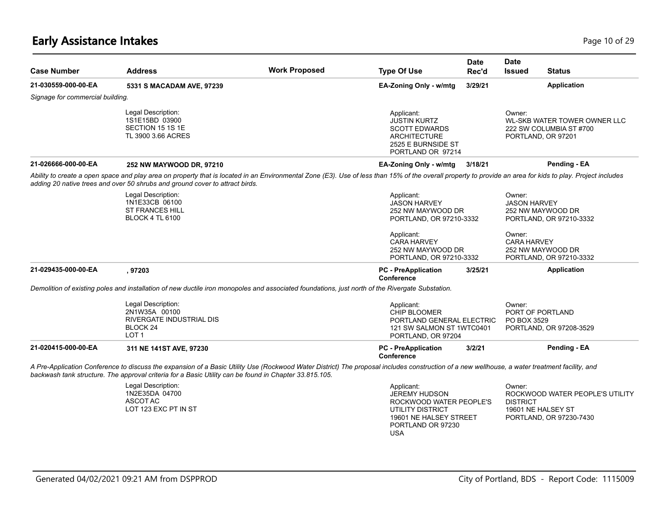# **Early Assistance Intakes** Page 10 of 29

| <b>Case Number</b>               | <b>Address</b>                                                                                                                                                                                                                                                                                          | <b>Work Proposed</b> | <b>Type Of Use</b>                                                                                                                             | Date<br>Rec'd | <b>Date</b><br><b>Issued</b>  | <b>Status</b>                                                                    |
|----------------------------------|---------------------------------------------------------------------------------------------------------------------------------------------------------------------------------------------------------------------------------------------------------------------------------------------------------|----------------------|------------------------------------------------------------------------------------------------------------------------------------------------|---------------|-------------------------------|----------------------------------------------------------------------------------|
| 21-030559-000-00-EA              | 5331 S MACADAM AVE, 97239                                                                                                                                                                                                                                                                               |                      | EA-Zoning Only - w/mtg                                                                                                                         | 3/29/21       |                               | <b>Application</b>                                                               |
| Signage for commercial building. |                                                                                                                                                                                                                                                                                                         |                      |                                                                                                                                                |               |                               |                                                                                  |
|                                  | Legal Description:<br>1S1E15BD 03900<br>SECTION 15 1S 1E<br>TL 3900 3.66 ACRES                                                                                                                                                                                                                          |                      | Applicant:<br><b>JUSTIN KURTZ</b><br><b>SCOTT EDWARDS</b><br><b>ARCHITECTURE</b><br>2525 E BURNSIDE ST<br>PORTLAND OR 97214                    |               | Owner:                        | WL-SKB WATER TOWER OWNER LLC<br>222 SW COLUMBIA ST #700<br>PORTLAND, OR 97201    |
| 21-026666-000-00-EA              | 252 NW MAYWOOD DR, 97210                                                                                                                                                                                                                                                                                |                      | EA-Zoning Only - w/mtg                                                                                                                         | 3/18/21       |                               | Pending - EA                                                                     |
|                                  | Ability to create a open space and play area on property that is located in an Environmental Zone (E3). Use of less than 15% of the overall property to provide an area for kids to play. Project includes<br>adding 20 native trees and over 50 shrubs and ground cover to attract birds.              |                      |                                                                                                                                                |               |                               |                                                                                  |
|                                  | Legal Description:<br>1N1E33CB 06100<br><b>ST FRANCES HILL</b><br><b>BLOCK 4 TL 6100</b>                                                                                                                                                                                                                |                      | Applicant:<br><b>JASON HARVEY</b><br>252 NW MAYWOOD DR<br>PORTLAND, OR 97210-3332                                                              |               | Owner:<br><b>JASON HARVEY</b> | 252 NW MAYWOOD DR<br>PORTLAND, OR 97210-3332                                     |
|                                  |                                                                                                                                                                                                                                                                                                         |                      | Applicant:<br><b>CARA HARVEY</b><br>252 NW MAYWOOD DR<br>PORTLAND, OR 97210-3332                                                               |               | Owner:<br><b>CARA HARVEY</b>  | 252 NW MAYWOOD DR<br>PORTLAND, OR 97210-3332                                     |
| 21-029435-000-00-EA              | , 97203                                                                                                                                                                                                                                                                                                 |                      | <b>PC</b> - PreApplication<br>Conference                                                                                                       | 3/25/21       |                               | <b>Application</b>                                                               |
|                                  | Demolition of existing poles and installation of new ductile iron monopoles and associated foundations, just north of the Rivergate Substation.                                                                                                                                                         |                      |                                                                                                                                                |               |                               |                                                                                  |
|                                  | Legal Description:<br>2N1W35A 00100<br>RIVERGATE INDUSTRIAL DIS<br>BLOCK 24<br>LOT <sub>1</sub>                                                                                                                                                                                                         |                      | Applicant:<br><b>CHIP BLOOMER</b><br>PORTLAND GENERAL ELECTRIC<br>121 SW SALMON ST 1WTC0401<br>PORTLAND, OR 97204                              |               | Owner:<br>PO BOX 3529         | PORT OF PORTLAND<br>PORTLAND, OR 97208-3529                                      |
| 21-020415-000-00-EA              | 311 NE 141ST AVE, 97230                                                                                                                                                                                                                                                                                 |                      | <b>PC</b> - PreApplication<br>Conference                                                                                                       | 3/2/21        |                               | Pending - EA                                                                     |
|                                  | A Pre-Application Conference to discuss the expansion of a Basic Utility Use (Rockwood Water District) The proposal includes construction of a new wellhouse, a water treatment facility, and<br>backwash tank structure. The approval criteria for a Basic Utility can be found in Chapter 33.815.105. |                      |                                                                                                                                                |               |                               |                                                                                  |
|                                  | Legal Description:<br>1N2E35DA 04700<br>ASCOT AC<br>LOT 123 EXC PT IN ST                                                                                                                                                                                                                                |                      | Applicant:<br><b>JEREMY HUDSON</b><br>ROCKWOOD WATER PEOPLE'S<br>UTILITY DISTRICT<br>19601 NE HALSEY STREET<br>PORTLAND OR 97230<br><b>USA</b> |               | Owner:<br><b>DISTRICT</b>     | ROCKWOOD WATER PEOPLE'S UTILITY<br>19601 NE HALSEY ST<br>PORTLAND, OR 97230-7430 |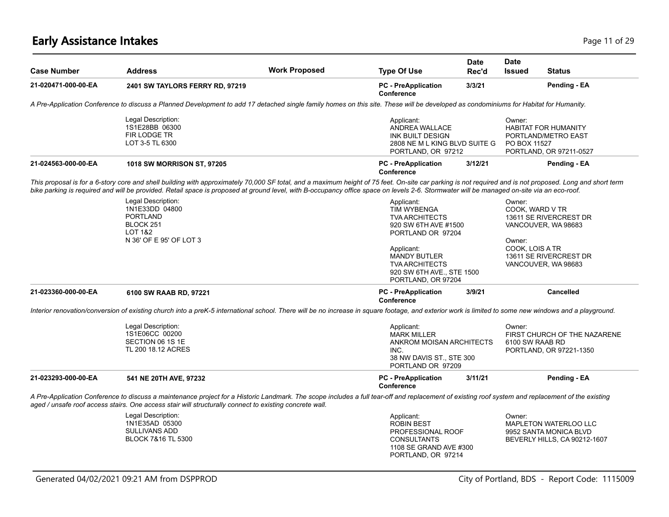# **Early Assistance Intakes** Page 11 of 29

| <b>Case Number</b>  | <b>Address</b>                                                                                                                                                                                                                                                                                                                                                                                        | <b>Work Proposed</b> | <b>Type Of Use</b>                                                                                                    | <b>Date</b><br>Rec'd | <b>Date</b><br><b>Issued</b> | <b>Status</b>                                                                   |
|---------------------|-------------------------------------------------------------------------------------------------------------------------------------------------------------------------------------------------------------------------------------------------------------------------------------------------------------------------------------------------------------------------------------------------------|----------------------|-----------------------------------------------------------------------------------------------------------------------|----------------------|------------------------------|---------------------------------------------------------------------------------|
| 21-020471-000-00-EA | 2401 SW TAYLORS FERRY RD, 97219                                                                                                                                                                                                                                                                                                                                                                       |                      | <b>PC</b> - PreApplication<br>Conference                                                                              | 3/3/21               |                              | Pending - EA                                                                    |
|                     | A Pre-Application Conference to discuss a Planned Development to add 17 detached single family homes on this site. These will be developed as condominiums for Habitat for Humanity.                                                                                                                                                                                                                  |                      |                                                                                                                       |                      |                              |                                                                                 |
|                     | Legal Description:<br>1S1E28BB 06300<br>FIR LODGE TR<br>LOT 3-5 TL 6300                                                                                                                                                                                                                                                                                                                               |                      | Applicant:<br><b>ANDREA WALLACE</b><br><b>INK BUILT DESIGN</b><br>2808 NE M L KING BLVD SUITE G<br>PORTLAND, OR 97212 |                      | Owner:<br>PO BOX 11527       | <b>HABITAT FOR HUMANITY</b><br>PORTLAND/METRO EAST<br>PORTLAND, OR 97211-0527   |
| 21-024563-000-00-EA | 1018 SW MORRISON ST, 97205                                                                                                                                                                                                                                                                                                                                                                            |                      | <b>PC</b> - PreApplication<br>Conference                                                                              | 3/12/21              |                              | Pending - EA                                                                    |
|                     | This proposal is for a 6-story core and shell building with approximately 70,000 SF total, and a maximum height of 75 feet. On-site car parking is not required and is not proposed. Long and short term<br>bike parking is required and will be provided. Retail space is proposed at ground level, with B-occupancy office space on levels 2-6. Stormwater will be managed on-site via an eco-roof. |                      |                                                                                                                       |                      |                              |                                                                                 |
|                     | Legal Description:<br>1N1E33DD 04800<br><b>PORTLAND</b><br>BLOCK 251<br><b>LOT 1&amp;2</b>                                                                                                                                                                                                                                                                                                            |                      | Applicant:<br><b>TIM WYBENGA</b><br><b>TVA ARCHITECTS</b><br>920 SW 6TH AVE #1500<br>PORTLAND OR 97204                |                      | Owner:<br>COOK, WARD V TR    | 13611 SE RIVERCREST DR<br>VANCOUVER, WA 98683                                   |
|                     | N 36' OF E 95' OF LOT 3                                                                                                                                                                                                                                                                                                                                                                               |                      | Applicant:<br><b>MANDY BUTLER</b><br><b>TVA ARCHITECTS</b><br>920 SW 6TH AVE., STE 1500<br>PORTLAND, OR 97204         |                      | Owner:<br>COOK, LOIS A TR    | 13611 SE RIVERCREST DR<br>VANCOUVER, WA 98683                                   |
| 21-023360-000-00-EA | 6100 SW RAAB RD, 97221                                                                                                                                                                                                                                                                                                                                                                                |                      | <b>PC</b> - PreApplication<br>Conference                                                                              | 3/9/21               |                              | <b>Cancelled</b>                                                                |
|                     | Interior renovation/conversion of existing church into a preK-5 international school. There will be no increase in square footage, and exterior work is limited to some new windows and a playground.                                                                                                                                                                                                 |                      |                                                                                                                       |                      |                              |                                                                                 |
|                     | Legal Description:<br>1S1E06CC 00200<br>SECTION 06 1S 1E<br>TL 200 18.12 ACRES                                                                                                                                                                                                                                                                                                                        |                      | Applicant:<br><b>MARK MILLER</b><br>ANKROM MOISAN ARCHITECTS<br>INC.<br>38 NW DAVIS ST., STE 300<br>PORTLAND OR 97209 |                      | Owner:<br>6100 SW RAAB RD    | FIRST CHURCH OF THE NAZARENE<br>PORTLAND, OR 97221-1350                         |
| 21-023293-000-00-EA | 541 NE 20TH AVE, 97232                                                                                                                                                                                                                                                                                                                                                                                |                      | <b>PC</b> - PreApplication<br>Conference                                                                              | 3/11/21              |                              | Pending - EA                                                                    |
|                     | A Pre-Application Conference to discuss a maintenance project for a Historic Landmark. The scope includes a full tear-off and replacement of existing roof system and replacement of the existing<br>aged / unsafe roof access stairs. One access stair will structurally connect to existing concrete wall.                                                                                          |                      |                                                                                                                       |                      |                              |                                                                                 |
|                     | Legal Description:<br>1N1E35AD 05300<br>SULLIVANS ADD<br>BLOCK 7&16 TL 5300                                                                                                                                                                                                                                                                                                                           |                      | Applicant:<br><b>ROBIN BEST</b><br>PROFESSIONAL ROOF<br><b>CONSULTANTS</b><br>1108 SE GRAND AVE #300                  |                      | Owner:                       | MAPLETON WATERLOO LLC<br>9952 SANTA MONICA BLVD<br>BEVERLY HILLS, CA 90212-1607 |

PORTLAND, OR 97214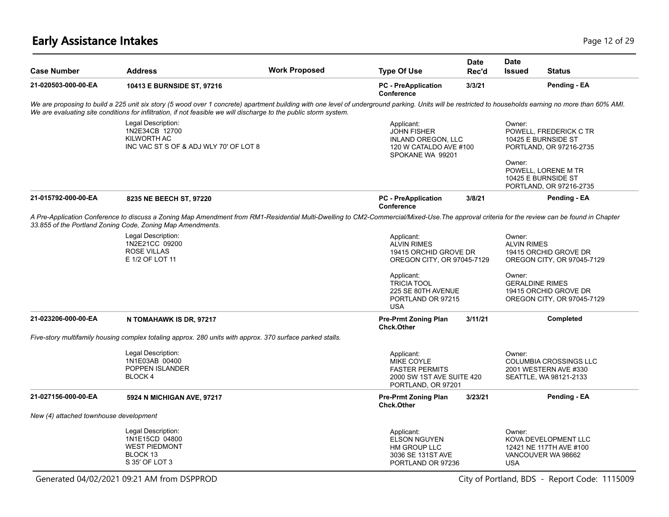# **Early Assistance Intakes** Page 12 of 29

| <b>Case Number</b>                     | <b>Address</b>                                                                                                                                                                                                                                                                                                              | <b>Work Proposed</b> | <b>Type Of Use</b>                                                                                          | <b>Date</b><br>Rec'd | <b>Date</b><br><b>Issued</b>     | <b>Status</b>                                                                    |
|----------------------------------------|-----------------------------------------------------------------------------------------------------------------------------------------------------------------------------------------------------------------------------------------------------------------------------------------------------------------------------|----------------------|-------------------------------------------------------------------------------------------------------------|----------------------|----------------------------------|----------------------------------------------------------------------------------|
| 21-020503-000-00-EA                    | 10413 E BURNSIDE ST, 97216                                                                                                                                                                                                                                                                                                  |                      | <b>PC</b> - PreApplication<br>Conference                                                                    | 3/3/21               |                                  | Pending - EA                                                                     |
|                                        | We are proposing to build a 225 unit six story (5 wood over 1 concrete) apartment building with one level of underground parking. Units will be restricted to households earning no more than 60% AMI.<br>We are evaluating site conditions for infiltration, if not feasible we will discharge to the public storm system. |                      |                                                                                                             |                      |                                  |                                                                                  |
|                                        | Legal Description:<br>1N2E34CB 12700<br>KILWORTH AC<br>INC VAC ST S OF & ADJ WLY 70' OF LOT 8                                                                                                                                                                                                                               |                      | Applicant:<br><b>JOHN FISHER</b><br><b>INLAND OREGON, LLC</b><br>120 W CATALDO AVE #100<br>SPOKANE WA 99201 |                      | Owner:                           | POWELL, FREDERICK C TR<br>10425 E BURNSIDE ST<br>PORTLAND, OR 97216-2735         |
|                                        |                                                                                                                                                                                                                                                                                                                             |                      |                                                                                                             |                      | Owner:                           | POWELL. LORENE M TR<br>10425 E BURNSIDE ST<br>PORTLAND, OR 97216-2735            |
| 21-015792-000-00-EA                    | 8235 NE BEECH ST, 97220                                                                                                                                                                                                                                                                                                     |                      | <b>PC</b> - PreApplication<br><b>Conference</b>                                                             | 3/8/21               |                                  | Pending - EA                                                                     |
|                                        | A Pre-Application Conference to discuss a Zoning Map Amendment from RM1-Residential Multi-Dwelling to CM2-Commercial/Mixed-Use. The approval criteria for the review can be found in Chapter<br>33.855 of the Portland Zoning Code, Zoning Map Amendments.                                                                  |                      |                                                                                                             |                      |                                  |                                                                                  |
|                                        | Legal Description:<br>1N2E21CC 09200<br><b>ROSE VILLAS</b><br>E 1/2 OF LOT 11                                                                                                                                                                                                                                               |                      | Applicant:<br><b>ALVIN RIMES</b><br>19415 ORCHID GROVE DR<br>OREGON CITY, OR 97045-7129                     |                      | Owner:<br><b>ALVIN RIMES</b>     | 19415 ORCHID GROVE DR<br>OREGON CITY, OR 97045-7129                              |
|                                        |                                                                                                                                                                                                                                                                                                                             |                      | Applicant:<br><b>TRICIA TOOL</b><br>225 SE 80TH AVENUE<br>PORTLAND OR 97215<br><b>USA</b>                   |                      | Owner:<br><b>GERALDINE RIMES</b> | 19415 ORCHID GROVE DR<br>OREGON CITY, OR 97045-7129                              |
| 21-023206-000-00-EA                    | N TOMAHAWK IS DR, 97217                                                                                                                                                                                                                                                                                                     |                      | <b>Pre-Prmt Zoning Plan</b><br><b>Chck.Other</b>                                                            | 3/11/21              |                                  | <b>Completed</b>                                                                 |
|                                        | Five-story multifamily housing complex totaling approx. 280 units with approx. 370 surface parked stalls.                                                                                                                                                                                                                   |                      |                                                                                                             |                      |                                  |                                                                                  |
|                                        | Legal Description:<br>1N1E03AB 00400<br>POPPEN ISLANDER<br>BLOCK 4                                                                                                                                                                                                                                                          |                      | Applicant:<br><b>MIKE COYLE</b><br><b>FASTER PERMITS</b><br>2000 SW 1ST AVE SUITE 420<br>PORTLAND, OR 97201 |                      | Owner:                           | <b>COLUMBIA CROSSINGS LLC</b><br>2001 WESTERN AVE #330<br>SEATTLE, WA 98121-2133 |
| 21-027156-000-00-EA                    | 5924 N MICHIGAN AVE, 97217                                                                                                                                                                                                                                                                                                  |                      | <b>Pre-Prmt Zoning Plan</b><br><b>Chck.Other</b>                                                            | 3/23/21              |                                  | Pending - EA                                                                     |
| New (4) attached townhouse development |                                                                                                                                                                                                                                                                                                                             |                      |                                                                                                             |                      |                                  |                                                                                  |
|                                        | Legal Description:<br>1N1E15CD 04800<br><b>WEST PIEDMONT</b><br>BLOCK 13<br>S 35' OF LOT 3                                                                                                                                                                                                                                  |                      | Applicant:<br><b>ELSON NGUYEN</b><br>HM GROUP LLC<br>3036 SE 131ST AVE<br>PORTLAND OR 97236                 |                      | Owner:<br><b>USA</b>             | KOVA DEVELOPMENT LLC<br>12421 NE 117TH AVE #100<br>VANCOUVER WA 98662            |
|                                        |                                                                                                                                                                                                                                                                                                                             |                      |                                                                                                             |                      |                                  |                                                                                  |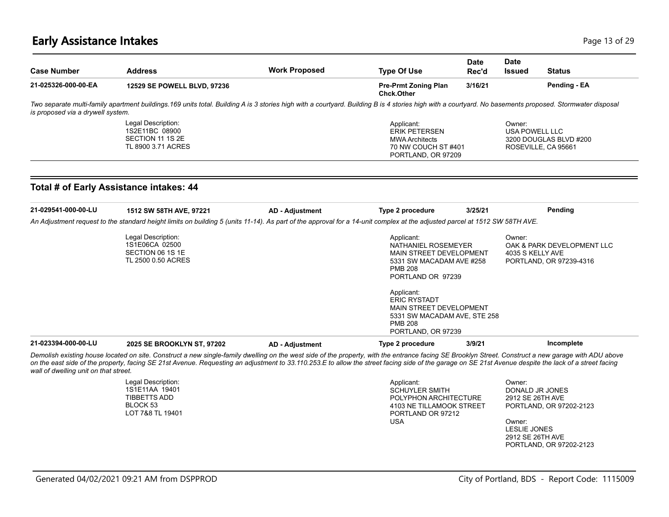# **Early Assistance Intakes** Page 13 of 29

| <b>Case Number</b>                    | <b>Address</b>                                                                                                                                                                                                                                                                                                                                                                                                | <b>Work Proposed</b>   | <b>Type Of Use</b>                                                                                                                          | Date<br>Rec'd | <b>Date</b><br><b>Issued</b>                                             | <b>Status</b>                                                         |
|---------------------------------------|---------------------------------------------------------------------------------------------------------------------------------------------------------------------------------------------------------------------------------------------------------------------------------------------------------------------------------------------------------------------------------------------------------------|------------------------|---------------------------------------------------------------------------------------------------------------------------------------------|---------------|--------------------------------------------------------------------------|-----------------------------------------------------------------------|
| 21-025326-000-00-EA                   | 12529 SE POWELL BLVD, 97236                                                                                                                                                                                                                                                                                                                                                                                   |                        | Pre-Prmt Zoning Plan<br><b>Chck.Other</b>                                                                                                   | 3/16/21       |                                                                          | Pending - EA                                                          |
| is proposed via a drywell system.     | Two separate multi-family apartment buildings.169 units total. Building A is 3 stories high with a courtyard. Building B is 4 stories high with a courtyard. No basements proposed. Stormwater disposal                                                                                                                                                                                                       |                        |                                                                                                                                             |               |                                                                          |                                                                       |
|                                       | Legal Description:<br>1S2E11BC 08900<br>SECTION 11 1S 2E<br>TL 8900 3.71 ACRES                                                                                                                                                                                                                                                                                                                                |                        | Applicant:<br><b>ERIK PETERSEN</b><br><b>MWA Architects</b><br>70 NW COUCH ST#401<br>PORTLAND, OR 97209                                     |               | Owner:<br><b>USA POWELL LLC</b>                                          | 3200 DOUGLAS BLVD #200<br>ROSEVILLE, CA 95661                         |
|                                       | Total # of Early Assistance intakes: 44                                                                                                                                                                                                                                                                                                                                                                       |                        |                                                                                                                                             |               |                                                                          |                                                                       |
| 21-029541-000-00-LU                   | 1512 SW 58TH AVE, 97221                                                                                                                                                                                                                                                                                                                                                                                       | <b>AD - Adjustment</b> | Type 2 procedure                                                                                                                            | 3/25/21       |                                                                          | Pending                                                               |
|                                       | An Adjustment request to the standard height limits on building 5 (units 11-14). As part of the approval for a 14-unit complex at the adjusted parcel at 1512 SW 58TH AVE.                                                                                                                                                                                                                                    |                        |                                                                                                                                             |               |                                                                          |                                                                       |
|                                       | Legal Description:<br>1S1E06CA 02500<br>SECTION 06 1S 1E<br>TL 2500 0.50 ACRES                                                                                                                                                                                                                                                                                                                                |                        | Applicant:<br>NATHANIEL ROSEMEYER<br>MAIN STREET DEVELOPMENT<br>5331 SW MACADAM AVE #258<br><b>PMB 208</b><br>PORTLAND OR 97239             |               | Owner:<br>4035 S KELLY AVE                                               | OAK & PARK DEVELOPMENT LLC<br>PORTLAND, OR 97239-4316                 |
|                                       |                                                                                                                                                                                                                                                                                                                                                                                                               |                        | Applicant:<br><b>ERIC RYSTADT</b><br><b>MAIN STREET DEVELOPMENT</b><br>5331 SW MACADAM AVE, STE 258<br><b>PMB 208</b><br>PORTLAND, OR 97239 |               |                                                                          |                                                                       |
| 21-023394-000-00-LU                   | 2025 SE BROOKLYN ST, 97202                                                                                                                                                                                                                                                                                                                                                                                    | <b>AD - Adjustment</b> | Type 2 procedure                                                                                                                            | 3/9/21        |                                                                          | Incomplete                                                            |
| wall of dwelling unit on that street. | Demolish existing house located on site. Construct a new single-family dwelling on the west side of the property, with the entrance facing SE Brooklyn Street. Construct a new garage with ADU above<br>on the east side of the property, facing SE 21st Avenue. Requesting an adjustment to 33.110.253.E to allow the street facing side of the garage on SE 21st Avenue despite the lack of a street facing |                        |                                                                                                                                             |               |                                                                          |                                                                       |
|                                       | Legal Description:<br>1S1E11AA 19401<br><b>TIBBETTS ADD</b><br>BLOCK 53<br>LOT 7&8 TL 19401                                                                                                                                                                                                                                                                                                                   |                        | Applicant:<br><b>SCHUYLER SMITH</b><br>POLYPHON ARCHITECTURE<br>4103 NE TILLAMOOK STREET<br>PORTLAND OR 97212<br><b>USA</b>                 |               | Owner:<br>2912 SE 26TH AVE<br>Owner:<br>LESLIE JONES<br>2912 SE 26TH AVE | DONALD JR JONES<br>PORTLAND, OR 97202-2123<br>PORTLAND, OR 97202-2123 |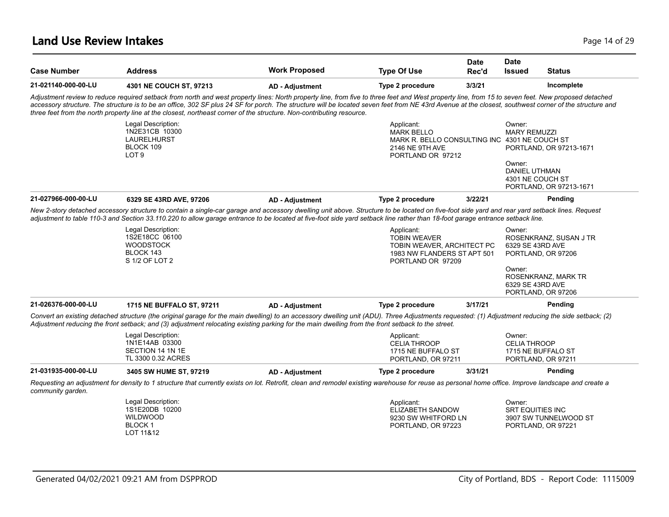#### **Land Use Review Intakes** Page 14 of 29

| <b>Case Number</b>  | <b>Address</b>                                                                                                                                                                                                                                                                                                                                                                                                                                                                                                                        | <b>Work Proposed</b>   | <b>Type Of Use</b>                                                                                                       | Date<br>Rec'd | <b>Date</b><br>Issued                              | <b>Status</b>                                |
|---------------------|---------------------------------------------------------------------------------------------------------------------------------------------------------------------------------------------------------------------------------------------------------------------------------------------------------------------------------------------------------------------------------------------------------------------------------------------------------------------------------------------------------------------------------------|------------------------|--------------------------------------------------------------------------------------------------------------------------|---------------|----------------------------------------------------|----------------------------------------------|
| 21-021140-000-00-LU | 4301 NE COUCH ST, 97213                                                                                                                                                                                                                                                                                                                                                                                                                                                                                                               | <b>AD - Adjustment</b> | Type 2 procedure                                                                                                         | 3/3/21        |                                                    | Incomplete                                   |
|                     | Adjustment review to reduce required setback from north and west property lines: North property line, from five to three feet and West property line, from 15 to seven feet. New proposed detached<br>accessory structure. The structure is to be an office, 302 SF plus 24 SF for porch. The structure will be located seven feet from NE 43rd Avenue at the closest, southwest corner of the structure and<br>three feet from the north property line at the closest, northeast corner of the structure. Non-contributing resource. |                        |                                                                                                                          |               |                                                    |                                              |
|                     | Legal Description:<br>1N2E31CB 10300<br>LAURELHURST<br>BLOCK 109<br>LOT <sub>9</sub>                                                                                                                                                                                                                                                                                                                                                                                                                                                  |                        | Applicant:<br><b>MARK BELLO</b><br>MARK R. BELLO CONSULTING INC 4301 NE COUCH ST<br>2146 NE 9TH AVE<br>PORTLAND OR 97212 |               | Owner:<br><b>MARY REMUZZI</b>                      | PORTLAND, OR 97213-1671                      |
|                     |                                                                                                                                                                                                                                                                                                                                                                                                                                                                                                                                       |                        |                                                                                                                          |               | Owner:<br><b>DANIEL UTHMAN</b><br>4301 NE COUCH ST | PORTLAND, OR 97213-1671                      |
| 21-027966-000-00-LU | 6329 SE 43RD AVE, 97206                                                                                                                                                                                                                                                                                                                                                                                                                                                                                                               | <b>AD - Adjustment</b> | Type 2 procedure                                                                                                         | 3/22/21       |                                                    | Pending                                      |
|                     | New 2-story detached accessory structure to contain a single-car garage and accessory dwelling unit above. Structure to be located on five-foot side yard and rear yard setback lines. Request<br>adjustment to table 110-3 and Section 33.110.220 to allow garage entrance to be located at five-foot side yard setback line rather than 18-foot garage entrance setback line.                                                                                                                                                       |                        |                                                                                                                          |               |                                                    |                                              |
|                     | Legal Description:<br>1S2E18CC 06100<br><b>WOODSTOCK</b><br>BLOCK 143<br>S 1/2 OF LOT 2                                                                                                                                                                                                                                                                                                                                                                                                                                               |                        | Applicant:<br><b>TOBIN WEAVER</b><br>TOBIN WEAVER, ARCHITECT PC<br>1983 NW FLANDERS ST APT 501<br>PORTLAND OR 97209      |               | Owner:<br>6329 SE 43RD AVE                         | ROSENKRANZ, SUSAN J TR<br>PORTLAND, OR 97206 |
|                     |                                                                                                                                                                                                                                                                                                                                                                                                                                                                                                                                       |                        |                                                                                                                          |               | Owner:<br>6329 SE 43RD AVE                         | ROSENKRANZ, MARK TR<br>PORTLAND, OR 97206    |
| 21-026376-000-00-LU | 1715 NE BUFFALO ST, 97211                                                                                                                                                                                                                                                                                                                                                                                                                                                                                                             | <b>AD - Adjustment</b> | Type 2 procedure                                                                                                         | 3/17/21       |                                                    | Pending                                      |
|                     | Convert an existing detached structure (the original garage for the main dwelling) to an accessory dwelling unit (ADU). Three Adjustments requested: (1) Adjustment reducing the side setback; (2)<br>Adjustment reducing the front setback; and (3) adjustment relocating existing parking for the main dwelling from the front setback to the street.                                                                                                                                                                               |                        |                                                                                                                          |               |                                                    |                                              |
|                     | Legal Description:<br>1N1E14AB 03300<br>SECTION 14 1N 1E<br>TL 3300 0.32 ACRES                                                                                                                                                                                                                                                                                                                                                                                                                                                        |                        | Applicant:<br><b>CELIA THROOP</b><br>1715 NE BUFFALO ST<br>PORTLAND, OR 97211                                            |               | Owner:<br><b>CELIA THROOP</b>                      | 1715 NE BUFFALO ST<br>PORTLAND, OR 97211     |
| 21-031935-000-00-LU | 3405 SW HUME ST, 97219                                                                                                                                                                                                                                                                                                                                                                                                                                                                                                                | <b>AD - Adjustment</b> | Type 2 procedure                                                                                                         | 3/31/21       |                                                    | Pending                                      |
| community garden.   | Requesting an adjustment for density to 1 structure that currently exists on lot. Retrofit, clean and remodel existing warehouse for reuse as personal home office. Improve landscape and create a                                                                                                                                                                                                                                                                                                                                    |                        |                                                                                                                          |               |                                                    |                                              |
|                     | Legal Description:<br>1S1E20DB 10200<br><b>WILDWOOD</b><br><b>BLOCK1</b><br>LOT 11&12                                                                                                                                                                                                                                                                                                                                                                                                                                                 |                        | Applicant:<br><b>ELIZABETH SANDOW</b><br>9230 SW WHITFORD LN<br>PORTLAND, OR 97223                                       |               | Owner:<br><b>SRT EQUITIES INC</b>                  | 3907 SW TUNNELWOOD ST<br>PORTLAND, OR 97221  |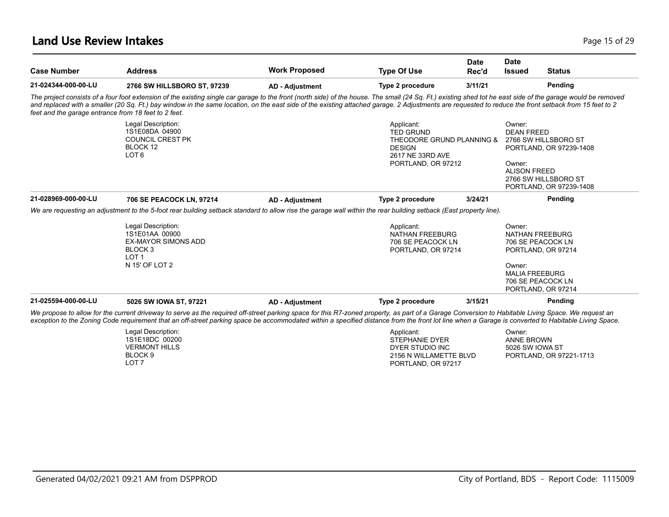### **Land Use Review Intakes** Page 15 of 29

| <b>Case Number</b>                                   | <b>Address</b>                                                                                                                                                                                                                                                                                                                                                                                                        | <b>Work Proposed</b>   | <b>Type Of Use</b>                                                                                                     | <b>Date</b><br>Rec'd | <b>Date</b><br><b>Issued</b>                                                      | <b>Status</b>                                                                                      |
|------------------------------------------------------|-----------------------------------------------------------------------------------------------------------------------------------------------------------------------------------------------------------------------------------------------------------------------------------------------------------------------------------------------------------------------------------------------------------------------|------------------------|------------------------------------------------------------------------------------------------------------------------|----------------------|-----------------------------------------------------------------------------------|----------------------------------------------------------------------------------------------------|
| 21-024344-000-00-LU                                  | 2766 SW HILLSBORO ST, 97239                                                                                                                                                                                                                                                                                                                                                                                           | <b>AD - Adjustment</b> | Type 2 procedure                                                                                                       | 3/11/21              |                                                                                   | Pending                                                                                            |
| feet and the garage entrance from 18 feet to 2 feet. | The project consists of a four foot extension of the existing single car garage to the front (north side) of the house. The small (24 Sq. Ft.) existing shed tot he east side of the garage would be removed<br>and replaced with a smaller (20 Sq. Ft.) bay window in the same location, on the east side of the existing attached garage. 2 Adjustments are requested to reduce the front setback from 15 feet to 2 |                        |                                                                                                                        |                      |                                                                                   |                                                                                                    |
|                                                      | Legal Description:<br>1S1E08DA 04900<br><b>COUNCIL CREST PK</b><br>BLOCK 12<br>LOT <sub>6</sub>                                                                                                                                                                                                                                                                                                                       |                        | Applicant:<br><b>TED GRUND</b><br>THEODORE GRUND PLANNING &<br><b>DESIGN</b><br>2617 NE 33RD AVE<br>PORTLAND, OR 97212 |                      | Owner:<br><b>DEAN FREED</b><br>Owner:<br><b>ALISON FREED</b>                      | 2766 SW HILLSBORO ST<br>PORTLAND, OR 97239-1408<br>2766 SW HILLSBORO ST<br>PORTLAND, OR 97239-1408 |
| 21-028969-000-00-LU                                  | 706 SE PEACOCK LN, 97214                                                                                                                                                                                                                                                                                                                                                                                              | <b>AD - Adjustment</b> | Type 2 procedure                                                                                                       | 3/24/21              |                                                                                   | Pending                                                                                            |
|                                                      | We are requesting an adjustment to the 5-foot rear building setback standard to allow rise the garage wall within the rear building setback (East property line).                                                                                                                                                                                                                                                     |                        |                                                                                                                        |                      |                                                                                   |                                                                                                    |
|                                                      | Legal Description:<br>1S1E01AA 00900<br><b>EX-MAYOR SIMONS ADD</b><br>BLOCK <sub>3</sub><br>LOT <sub>1</sub><br>N 15' OF LOT 2                                                                                                                                                                                                                                                                                        |                        | Applicant:<br><b>NATHAN FREEBURG</b><br>706 SE PEACOCK LN<br>PORTLAND, OR 97214                                        |                      | Owner:<br>NATHAN FREEBURG<br>706 SE PEACOCK LN<br>Owner:<br><b>MALIA FREEBURG</b> | PORTLAND, OR 97214<br>706 SE PEACOCK LN<br>PORTLAND, OR 97214                                      |
| 21-025594-000-00-LU                                  | 5026 SW IOWA ST, 97221                                                                                                                                                                                                                                                                                                                                                                                                | <b>AD - Adjustment</b> | Type 2 procedure                                                                                                       | 3/15/21              |                                                                                   | Pending                                                                                            |
|                                                      | We propose to allow for the current driveway to serve as the required off-street parking space for this R7-zoned property, as part of a Garage Conversion to Habitable Living Space. We request an<br>exception to the Zoning Code requirement that an off-street parking space be accommodated within a specified distance from the front lot line when a Garage is converted to Habitable Living Space.             |                        |                                                                                                                        |                      |                                                                                   |                                                                                                    |
|                                                      | Legal Description:<br>1S1E18DC 00200<br><b>VERMONT HILLS</b><br>BLOCK <sub>9</sub><br>LOT <sub>7</sub>                                                                                                                                                                                                                                                                                                                |                        | Applicant:<br><b>STEPHANIE DYER</b><br>DYER STUDIO INC<br>2156 N WILLAMETTE BLVD<br>PORTLAND, OR 97217                 |                      | Owner:<br><b>ANNE BROWN</b><br>5026 SW IOWA ST                                    | PORTLAND, OR 97221-1713                                                                            |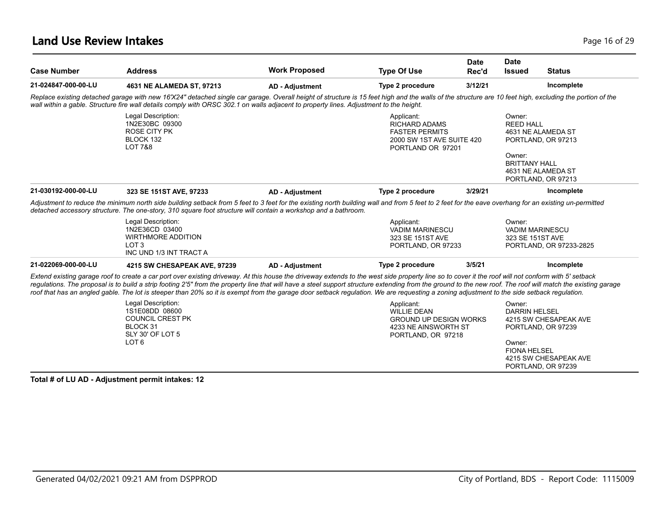### **Land Use Review Intakes** Page 16 of 29

| <b>Case Number</b>  | <b>Address</b>                                                                                                                                                                                                                                                                                                                                                                                                                                                                                                                                                                                                    | <b>Work Proposed</b>   | <b>Type Of Use</b>                                                                                              | <b>Date</b><br>Rec'd | <b>Date</b><br><b>Status</b><br><b>Issued</b>                                                                                                                 |  |
|---------------------|-------------------------------------------------------------------------------------------------------------------------------------------------------------------------------------------------------------------------------------------------------------------------------------------------------------------------------------------------------------------------------------------------------------------------------------------------------------------------------------------------------------------------------------------------------------------------------------------------------------------|------------------------|-----------------------------------------------------------------------------------------------------------------|----------------------|---------------------------------------------------------------------------------------------------------------------------------------------------------------|--|
| 21-024847-000-00-LU | 4631 NE ALAMEDA ST, 97213                                                                                                                                                                                                                                                                                                                                                                                                                                                                                                                                                                                         | <b>AD - Adjustment</b> | Type 2 procedure                                                                                                | 3/12/21              | Incomplete                                                                                                                                                    |  |
|                     | Replace existing detached garage with new 16'X24" detached single car garage. Overall height of structure is 15 feet high and the walls of the structure are 10 feet high, excluding the portion of the<br>wall within a gable. Structure fire wall details comply with ORSC 302.1 on walls adjacent to property lines. Adjustment to the height.                                                                                                                                                                                                                                                                 |                        |                                                                                                                 |                      |                                                                                                                                                               |  |
|                     | Legal Description:<br>1N2E30BC 09300<br><b>ROSE CITY PK</b><br>BLOCK 132<br><b>LOT 7&amp;8</b>                                                                                                                                                                                                                                                                                                                                                                                                                                                                                                                    |                        | Applicant:<br><b>RICHARD ADAMS</b><br><b>FASTER PERMITS</b><br>2000 SW 1ST AVE SUITE 420<br>PORTLAND OR 97201   |                      | Owner:<br><b>REED HALL</b><br>4631 NE ALAMEDA ST<br>PORTLAND, OR 97213<br>Owner:<br><b>BRITTANY HALL</b><br>4631 NE ALAMEDA ST                                |  |
| 21-030192-000-00-LU | 323 SE 151ST AVE, 97233                                                                                                                                                                                                                                                                                                                                                                                                                                                                                                                                                                                           |                        | Type 2 procedure                                                                                                | 3/29/21              | PORTLAND, OR 97213<br>Incomplete                                                                                                                              |  |
|                     | Adjustment to reduce the minimum north side building setback from 5 feet to 3 feet for the existing north building wall and from 5 feet to 2 feet for the eave overhang for an existing un-permitted<br>detached accessory structure. The one-story, 310 square foot structure will contain a workshop and a bathroom.<br>Legal Description:<br>1N2E36CD 03400<br><b>WIRTHMORE ADDITION</b><br>LOT <sub>3</sub><br>INC UND 1/3 INT TRACT A                                                                                                                                                                        | <b>AD - Adjustment</b> | Applicant:<br><b>VADIM MARINESCU</b><br>323 SE 151ST AVE<br>PORTLAND, OR 97233                                  |                      | Owner:<br>VADIM MARINESCU<br>323 SE 151ST AVE<br>PORTLAND, OR 97233-2825                                                                                      |  |
| 21-022069-000-00-LU | 4215 SW CHESAPEAK AVE, 97239                                                                                                                                                                                                                                                                                                                                                                                                                                                                                                                                                                                      | <b>AD - Adjustment</b> | Type 2 procedure                                                                                                | 3/5/21               | Incomplete                                                                                                                                                    |  |
|                     | Extend existing garage roof to create a car port over existing driveway. At this house the driveway extends to the west side property line so to cover it the roof will not conform with 5' setback<br>regulations. The proposal is to build a strip footing 2'5" from the property line that will have a steel support structure extending from the ground to the new roof. The roof will match the existing garage<br>roof that has an angled gable. The lot is steeper than 20% so it is exempt from the garage door setback regulation. We are requesting a zoning adjustment to the side setback regulation. |                        |                                                                                                                 |                      |                                                                                                                                                               |  |
|                     | Legal Description:<br>1S1E08DD 08600<br><b>COUNCIL CREST PK</b><br>BLOCK 31<br>SLY 30' OF LOT 5<br>LOT <sub>6</sub>                                                                                                                                                                                                                                                                                                                                                                                                                                                                                               |                        | Applicant:<br><b>WILLIE DEAN</b><br><b>GROUND UP DESIGN WORKS</b><br>4233 NE AINSWORTH ST<br>PORTLAND, OR 97218 |                      | Owner:<br><b>DARRIN HELSEL</b><br>4215 SW CHESAPEAK AVE<br>PORTLAND, OR 97239<br>Owner:<br><b>FIONA HELSEL</b><br>4215 SW CHESAPEAK AVE<br>PORTLAND, OR 97239 |  |

**Total # of LU AD - Adjustment permit intakes: 12**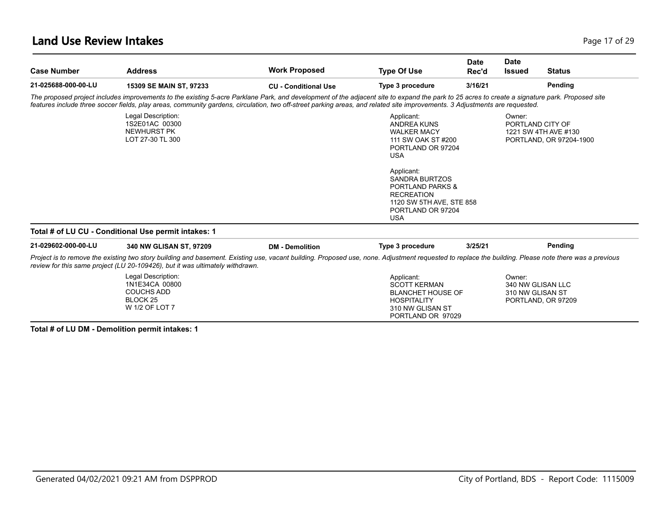### **Land Use Review Intakes** Page 17 of 29

| <b>Case Number</b>  | <b>Address</b>                                                                                                                                                                                                                                                                                                                                                                | <b>Work Proposed</b>        | <b>Type Of Use</b>                                                                                                                                                                                                                                                        | <b>Date</b><br>Rec'd | <b>Date</b><br><b>Issued</b>                                          | <b>Status</b>           |
|---------------------|-------------------------------------------------------------------------------------------------------------------------------------------------------------------------------------------------------------------------------------------------------------------------------------------------------------------------------------------------------------------------------|-----------------------------|---------------------------------------------------------------------------------------------------------------------------------------------------------------------------------------------------------------------------------------------------------------------------|----------------------|-----------------------------------------------------------------------|-------------------------|
| 21-025688-000-00-LU | 15309 SE MAIN ST, 97233                                                                                                                                                                                                                                                                                                                                                       | <b>CU - Conditional Use</b> | Type 3 procedure                                                                                                                                                                                                                                                          | 3/16/21              |                                                                       | Pending                 |
|                     | The proposed project includes improvements to the existing 5-acre Parklane Park, and development of the adjacent site to expand the park to 25 acres to create a signature park. Proposed site<br>features include three soccer fields, play areas, community gardens, circulation, two off-street parking areas, and related site improvements. 3 Adjustments are requested. |                             |                                                                                                                                                                                                                                                                           |                      |                                                                       |                         |
|                     | Legal Description:<br>1S2E01AC 00300<br>NEWHURST PK<br>LOT 27-30 TL 300                                                                                                                                                                                                                                                                                                       |                             | Applicant:<br><b>ANDREA KUNS</b><br><b>WALKER MACY</b><br>111 SW OAK ST #200<br>PORTLAND OR 97204<br><b>USA</b><br>Applicant:<br><b>SANDRA BURTZOS</b><br><b>PORTLAND PARKS &amp;</b><br><b>RECREATION</b><br>1120 SW 5TH AVE, STE 858<br>PORTLAND OR 97204<br><b>USA</b> |                      | Owner:<br>PORTLAND CITY OF<br>1221 SW 4TH AVE #130                    | PORTLAND, OR 97204-1900 |
|                     | Total # of LU CU - Conditional Use permit intakes: 1                                                                                                                                                                                                                                                                                                                          |                             |                                                                                                                                                                                                                                                                           |                      |                                                                       |                         |
| 21-029602-000-00-LU | 340 NW GLISAN ST, 97209                                                                                                                                                                                                                                                                                                                                                       | <b>DM</b> - Demolition      | Type 3 procedure                                                                                                                                                                                                                                                          | 3/25/21              |                                                                       | Pending                 |
|                     | Project is to remove the existing two story building and basement. Existing use, vacant building. Proposed use, none. Adjustment requested to replace the building. Please note there was a previous<br>review for this same project (LU 20-109426), but it was ultimately withdrawn.                                                                                         |                             |                                                                                                                                                                                                                                                                           |                      |                                                                       |                         |
|                     | Legal Description:<br>1N1E34CA 00800<br><b>COUCHS ADD</b><br>BLOCK <sub>25</sub><br>W 1/2 OF LOT 7                                                                                                                                                                                                                                                                            |                             | Applicant:<br><b>SCOTT KERMAN</b><br><b>BLANCHET HOUSE OF</b><br><b>HOSPITALITY</b><br>310 NW GLISAN ST<br>PORTLAND OR 97029                                                                                                                                              |                      | Owner:<br>340 NW GLISAN LLC<br>310 NW GLISAN ST<br>PORTLAND, OR 97209 |                         |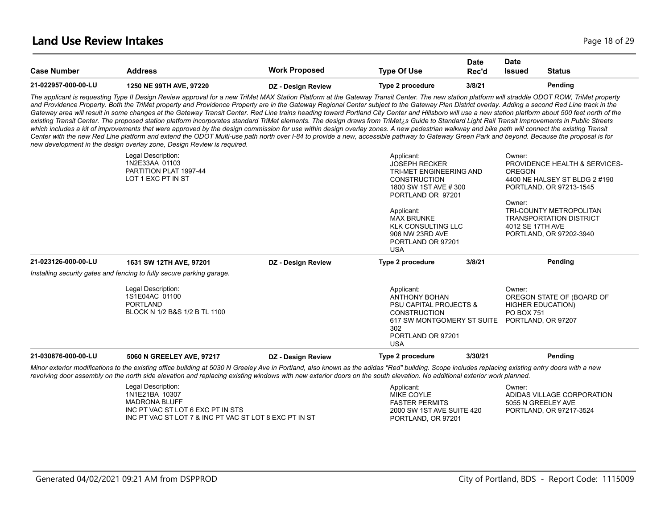| <b>Case Number</b>  | Address                 | Work Proposed      | <b>Type Of Use</b> | <b>Date</b><br>Rec'd | Date<br><b>Issued</b> | <b>Status</b> |
|---------------------|-------------------------|--------------------|--------------------|----------------------|-----------------------|---------------|
| 21-022957-000-00-LU | 1250 NE 99TH AVE, 97220 | DZ - Design Review | Type 2 procedure   | 3/8/21               |                       | Pending       |

*The applicant is requesting Type II Design Review approval for a new TriMet MAX Station Platform at the Gateway Transit Center. The new station platform will straddle ODOT ROW, TriMet property*  and Providence Property. Both the TriMet property and Providence Property are in the Gateway Regional Center subject to the Gateway Plan District overlay. Adding a second Red Line track in the Gateway area will result in some changes at the Gateway Transit Center. Red Line trains heading toward Portland City Center and Hillsboro will use a new station platform about 500 feet north of the *existing Transit Center. The proposed station platform incorporates standard TriMet elements. The design draws from TriMet¿s Guide to Standard Light Rail Transit Improvements in Public Streets*  which includes a kit of improvements that were approved by the design commission for use within design overlay zones. A new pedestrian walkway and bike path will connect the existing Transit *Center with the new Red Line platform and extend the ODOT Multi-use path north over I-84 to provide a new, accessible pathway to Gateway Green Park and beyond. Because the proposal is for new development in the design overlay zone, Design Review is required.*

| 21-030876-000-00-LU | 5060 N GREELEY AVE, 97217                                                                | DZ - Design Review | Type 2 procedure                                                                                                                                                                                                   | 3/30/21 | Pending                                                                                                                                                                        |
|---------------------|------------------------------------------------------------------------------------------|--------------------|--------------------------------------------------------------------------------------------------------------------------------------------------------------------------------------------------------------------|---------|--------------------------------------------------------------------------------------------------------------------------------------------------------------------------------|
|                     | Legal Description:<br>1S1E04AC 01100<br><b>PORTLAND</b><br>BLOCK N 1/2 B&S 1/2 B TL 1100 |                    | Applicant:<br>ANTHONY BOHAN<br><b>PSU CAPITAL PROJECTS &amp;</b><br><b>CONSTRUCTION</b><br>617 SW MONTGOMERY ST SUITE<br>302<br>PORTLAND OR 97201<br><b>USA</b>                                                    |         | Owner:<br>OREGON STATE OF (BOARD OF<br><b>HIGHER EDUCATION)</b><br>PO BOX 751<br>PORTLAND, OR 97207                                                                            |
|                     | Installing security gates and fencing to fully secure parking garage.                    |                    |                                                                                                                                                                                                                    |         |                                                                                                                                                                                |
| 21-023126-000-00-LU | 1631 SW 12TH AVE, 97201                                                                  | DZ - Design Review | Type 2 procedure                                                                                                                                                                                                   | 3/8/21  | Pending                                                                                                                                                                        |
|                     | LOT 1 EXC PT IN ST                                                                       |                    | TRI-MET ENGINEERING AND<br><b>CONSTRUCTION</b><br>1800 SW 1ST AVE # 300<br>PORTLAND OR 97201<br>Applicant:<br><b>MAX BRUNKE</b><br><b>KLK CONSULTING LLC</b><br>906 NW 23RD AVE<br>PORTLAND OR 97201<br><b>USA</b> |         | 4400 NE HALSEY ST BLDG 2 #190<br>PORTLAND, OR 97213-1545<br>Owner:<br>TRI-COUNTY METROPOLITAN<br><b>TRANSPORTATION DISTRICT</b><br>4012 SE 17TH AVE<br>PORTLAND, OR 97202-3940 |
|                     | Legal Description:<br>1N2E33AA 01103<br>PARTITION PLAT 1997-44                           |                    | Applicant:<br><b>JOSEPH RECKER</b>                                                                                                                                                                                 |         | Owner:<br><b>PROVIDENCE HEALTH &amp; SERVICES-</b><br><b>OREGON</b>                                                                                                            |

*Minor exterior modifications to the existing office building at 5030 N Greeley Ave in Portland, also known as the adidas "Red" building. Scope includes replacing existing entry doors with a new revolving door assembly on the north side elevation and replacing existing windows with new exterior doors on the south elevation. No additional exterior work planned.*

| Legal Description:                                     | Applicant:                | Owner:                     |
|--------------------------------------------------------|---------------------------|----------------------------|
| 1N1E21BA 10307                                         | MIKE COYLE                | ADIDAS VILLAGE CORPORATION |
| <b>MADRONA BLUFF</b>                                   | FASTER PERMITS            | 5055 N GREELEY AVE         |
| INC PT VAC ST LOT 6 EXC PT IN STS                      | 2000 SW 1ST AVE SUITE 420 | PORTLAND, OR 97217-3524    |
| INC PT VAC ST LOT 7 & INC PT VAC ST LOT 8 EXC PT IN ST | PORTLAND, OR 97201        |                            |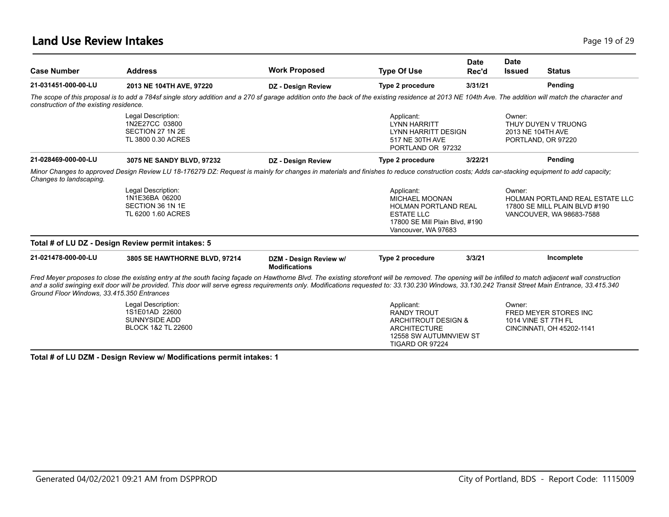### **Land Use Review Intakes** Page 19 of 29

| <b>Case Number</b>                         | <b>Address</b>                                                                                                                                                                                                                                                                                                                                                                                                 | <b>Work Proposed</b>                           | <b>Type Of Use</b>                                                                                                                               | Date<br>Rec'd | <b>Date</b><br><b>Issued</b> | <b>Status</b>                                                                                |
|--------------------------------------------|----------------------------------------------------------------------------------------------------------------------------------------------------------------------------------------------------------------------------------------------------------------------------------------------------------------------------------------------------------------------------------------------------------------|------------------------------------------------|--------------------------------------------------------------------------------------------------------------------------------------------------|---------------|------------------------------|----------------------------------------------------------------------------------------------|
| 21-031451-000-00-LU                        | 2013 NE 104TH AVE, 97220                                                                                                                                                                                                                                                                                                                                                                                       | DZ - Design Review                             | Type 2 procedure                                                                                                                                 | 3/31/21       |                              | Pending                                                                                      |
| construction of the existing residence.    | The scope of this proposal is to add a 784sf single story addition and a 270 sf garage addition onto the back of the existing residence at 2013 NE 104th Ave. The addition will match the character and                                                                                                                                                                                                        |                                                |                                                                                                                                                  |               |                              |                                                                                              |
|                                            | Legal Description:<br>1N2E27CC 03800<br>SECTION 27 1N 2E<br>TL 3800 0.30 ACRES                                                                                                                                                                                                                                                                                                                                 |                                                | Applicant:<br><b>LYNN HARRITT</b><br><b>LYNN HARRITT DESIGN</b><br>517 NE 30TH AVE<br>PORTLAND OR 97232                                          |               | Owner:                       | THUY DUYEN V TRUONG<br>2013 NE 104TH AVE<br>PORTLAND, OR 97220                               |
| 21-028469-000-00-LU                        | 3075 NE SANDY BLVD, 97232                                                                                                                                                                                                                                                                                                                                                                                      | DZ - Design Review                             | Type 2 procedure                                                                                                                                 | 3/22/21       |                              | Pending                                                                                      |
| Changes to landscaping.                    | Minor Changes to approved Design Review LU 18-176279 DZ: Request is mainly for changes in materials and finishes to reduce construction costs; Adds car-stacking equipment to add capacity;                                                                                                                                                                                                                    |                                                |                                                                                                                                                  |               |                              |                                                                                              |
|                                            | Legal Description:<br>1N1E36BA 06200<br>SECTION 36 1N 1E<br>TL 6200 1.60 ACRES                                                                                                                                                                                                                                                                                                                                 |                                                | Applicant:<br><b>MICHAEL MOONAN</b><br><b>HOLMAN PORTLAND REAL</b><br><b>ESTATE LLC</b><br>17800 SE Mill Plain Blvd. #190<br>Vancouver, WA 97683 |               | Owner:                       | HOLMAN PORTLAND REAL ESTATE LLC<br>17800 SE MILL PLAIN BLVD #190<br>VANCOUVER, WA 98683-7588 |
|                                            | Total # of LU DZ - Design Review permit intakes: 5                                                                                                                                                                                                                                                                                                                                                             |                                                |                                                                                                                                                  |               |                              |                                                                                              |
| 21-021478-000-00-LU                        | 3805 SE HAWTHORNE BLVD, 97214                                                                                                                                                                                                                                                                                                                                                                                  | DZM - Design Review w/<br><b>Modifications</b> | Type 2 procedure                                                                                                                                 | 3/3/21        |                              | Incomplete                                                                                   |
| Ground Floor Windows, 33.415.350 Entrances | Fred Meyer proposes to close the existing entry at the south facing façade on Hawthorne Blvd. The existing storefront will be removed. The opening will be infilled to match adjacent wall construction<br>and a solid swinging exit door will be provided. This door will serve egress requirements only. Modifications requested to: 33.130.230 Windows, 33.130.242 Transit Street Main Entrance, 33.415.340 |                                                |                                                                                                                                                  |               |                              |                                                                                              |
|                                            | Legal Description:<br>1S1E01AD 22600<br><b>SUNNYSIDE ADD</b><br><b>BLOCK 1&amp;2 TL 22600</b>                                                                                                                                                                                                                                                                                                                  |                                                | Applicant:<br>RANDY TROUT<br>ARCHITROUT DESIGN &<br><b>ARCHITECTURE</b><br>12558 SW AUTUMNVIEW ST<br><b>TIGARD OR 97224</b>                      |               | Owner:                       | FRED MEYER STORES INC<br>1014 VINE ST 7TH FL<br>CINCINNATI, OH 45202-1141                    |

**Total # of LU DZM - Design Review w/ Modifications permit intakes: 1**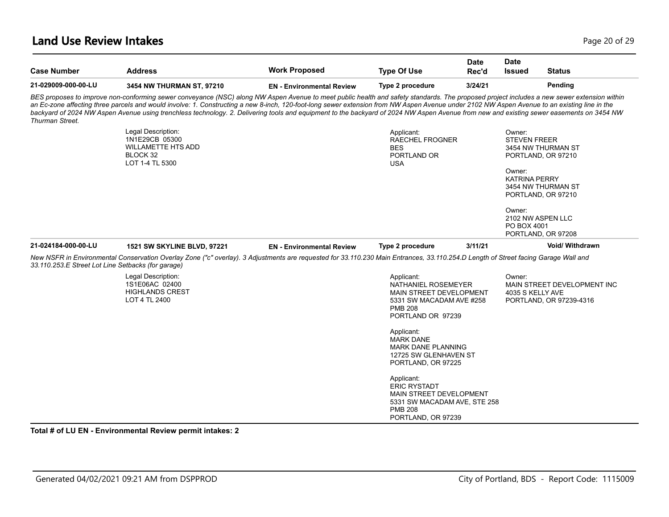#### **Land Use Review Intakes** Page 20 of 29

| <b>Case Number</b>                                 | <b>Address</b>                                                                                                                                                                                                                                                                                                                                                                                                                                                                                                                                                                         | <b>Work Proposed</b>             | <b>Type Of Use</b>                                                                                                                          | Date<br>Rec'd | <b>Date</b><br><b>Issued</b>                                    | <b>Status</b>                                                  |
|----------------------------------------------------|----------------------------------------------------------------------------------------------------------------------------------------------------------------------------------------------------------------------------------------------------------------------------------------------------------------------------------------------------------------------------------------------------------------------------------------------------------------------------------------------------------------------------------------------------------------------------------------|----------------------------------|---------------------------------------------------------------------------------------------------------------------------------------------|---------------|-----------------------------------------------------------------|----------------------------------------------------------------|
| 21-029009-000-00-LU                                | 3454 NW THURMAN ST, 97210                                                                                                                                                                                                                                                                                                                                                                                                                                                                                                                                                              | <b>EN</b> - Environmental Review | Type 2 procedure                                                                                                                            | 3/24/21       |                                                                 | Pending                                                        |
| <b>Thurman Street.</b>                             | BES proposes to improve non-conforming sewer conveyance (NSC) along NW Aspen Avenue to meet public health and safety standards. The proposed project includes a new sewer extension within<br>an Ec-zone affecting three parcels and would involve: 1. Constructing a new 8-inch, 120-foot-long sewer extension from NW Aspen Avenue under 2102 NW Aspen Avenue to an existing line in the<br>backyard of 2024 NW Aspen Avenue using trenchless technology. 2. Delivering tools and equipment to the backyard of 2024 NW Aspen Avenue from new and existing sewer easements on 3454 NW |                                  |                                                                                                                                             |               |                                                                 |                                                                |
|                                                    | Legal Description:<br>1N1E29CB 05300<br><b>WILLAMETTE HTS ADD</b><br>BLOCK 32<br>LOT 1-4 TL 5300                                                                                                                                                                                                                                                                                                                                                                                                                                                                                       |                                  | Applicant:<br><b>RAECHEL FROGNER</b><br><b>BES</b><br>PORTLAND OR<br><b>USA</b>                                                             |               | Owner:<br><b>STEVEN FREER</b><br>Owner:<br><b>KATRINA PERRY</b> | 3454 NW THURMAN ST<br>PORTLAND, OR 97210<br>3454 NW THURMAN ST |
|                                                    |                                                                                                                                                                                                                                                                                                                                                                                                                                                                                                                                                                                        |                                  |                                                                                                                                             |               | Owner:<br>PO BOX 4001                                           | PORTLAND, OR 97210<br>2102 NW ASPEN LLC<br>PORTLAND, OR 97208  |
| 21-024184-000-00-LU                                | 1521 SW SKYLINE BLVD, 97221                                                                                                                                                                                                                                                                                                                                                                                                                                                                                                                                                            | <b>EN</b> - Environmental Review | Type 2 procedure                                                                                                                            | 3/11/21       |                                                                 | Void/ Withdrawn                                                |
| 33.110.253.E Street Lot Line Setbacks (for garage) | New NSFR in Environmental Conservation Overlay Zone ("c" overlay). 3 Adjustments are requested for 33.110.230 Main Entrances, 33.110.254.D Length of Street facing Garage Wall and                                                                                                                                                                                                                                                                                                                                                                                                     |                                  |                                                                                                                                             |               |                                                                 |                                                                |
|                                                    | Legal Description:<br>1S1E06AC 02400<br><b>HIGHLANDS CREST</b><br>LOT 4 TL 2400                                                                                                                                                                                                                                                                                                                                                                                                                                                                                                        |                                  | Applicant:<br>NATHANIEL ROSEMEYER<br><b>MAIN STREET DEVELOPMENT</b><br>5331 SW MACADAM AVE #258<br><b>PMB 208</b><br>PORTLAND OR 97239      |               | Owner:<br>4035 S KELLY AVE                                      | MAIN STREET DEVELOPMENT INC<br>PORTLAND, OR 97239-4316         |
|                                                    |                                                                                                                                                                                                                                                                                                                                                                                                                                                                                                                                                                                        |                                  | Applicant:<br><b>MARK DANE</b><br><b>MARK DANE PLANNING</b><br>12725 SW GLENHAVEN ST<br>PORTLAND, OR 97225                                  |               |                                                                 |                                                                |
|                                                    |                                                                                                                                                                                                                                                                                                                                                                                                                                                                                                                                                                                        |                                  | Applicant:<br><b>ERIC RYSTADT</b><br><b>MAIN STREET DEVELOPMENT</b><br>5331 SW MACADAM AVE, STE 258<br><b>PMB 208</b><br>PORTLAND, OR 97239 |               |                                                                 |                                                                |

**Total # of LU EN - Environmental Review permit intakes: 2**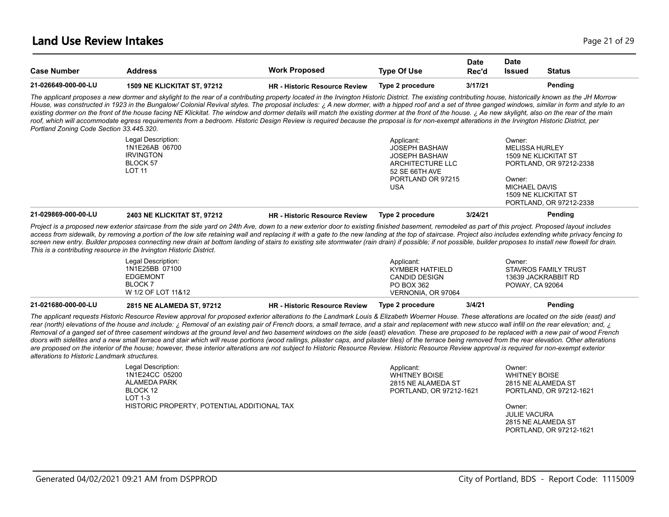| <b>Case Number</b>  | <b>Address</b>                                                                                                                                                                                                                                                                                                                                                                                                   | <b>Work Proposed</b>                 | <b>Type Of Use</b> | <b>Date</b><br>Rec'd | <b>Date</b><br><b>Issued</b> | <b>Status</b> |
|---------------------|------------------------------------------------------------------------------------------------------------------------------------------------------------------------------------------------------------------------------------------------------------------------------------------------------------------------------------------------------------------------------------------------------------------|--------------------------------------|--------------------|----------------------|------------------------------|---------------|
| 21-026649-000-00-LU | <b>1509 NE KLICKITAT ST. 97212</b>                                                                                                                                                                                                                                                                                                                                                                               | <b>HR - Historic Resource Review</b> | Type 2 procedure   | 3/17/21              |                              | Pending       |
|                     | The applicant proposes a new dormer and skylight to the rear of a contributing property located in the Irvington Historic District. The existing contributing house, historically known as the JH Morrow<br>House was constructed in 1923 in the Bungalow/ Colonial Revival styles. The proposal includes: ; A new dormer, with a hinned roof and a set of three ganged windows, similar in form and style to an |                                      |                    |                      |                              |               |

*House, was constructed in 1923 in the Bungalow/ Colonial Revival styles. The proposal includes: ¿ A new dormer, with a hipped roof and a set of three ganged windows, similar in form and style to an existing dormer on the front of the house facing NE Klickitat. The window and dormer details will match the existing dormer at the front of the house. ¿ Ae new skylight, also on the rear of the main*  roof, which will accommodate egress requirements from a bedroom. Historic Design Review is required because the proposal is for non-exempt alterations in the Irvington Historic District, per *Portland Zoning Code Section 33.445.320.*

| 21-029869-000-00-LU | <b>2403 NE KLICKITAT ST. 97212</b> | <b>HR</b> - Historic Resource Review | Type 2 procedure     | 3/24/21 | Pending                     |  |
|---------------------|------------------------------------|--------------------------------------|----------------------|---------|-----------------------------|--|
|                     |                                    |                                      |                      |         | PORTLAND, OR 97212-2338     |  |
|                     |                                    |                                      |                      |         | <b>1509 NE KLICKITAT ST</b> |  |
|                     |                                    |                                      | USA                  |         | MICHAEL DAVIS               |  |
|                     |                                    |                                      | PORTLAND OR 97215    |         | Owner:                      |  |
|                     | <b>LOT 11</b>                      |                                      | 52 SE 66TH AVE       |         |                             |  |
|                     | BLOCK 57                           |                                      | ARCHITECTURE LLC     |         | PORTLAND, OR 97212-2338     |  |
|                     | <b>IRVINGTON</b>                   |                                      | JOSEPH BASHAW        |         | <b>1509 NE KLICKITAT ST</b> |  |
|                     | 1N1E26AB 06700                     |                                      | <b>JOSEPH BASHAW</b> |         | MELISSA HURLEY              |  |
|                     | Legal Description:                 |                                      | Applicant:           |         | Owner:                      |  |

*Project is a proposed new exterior staircase from the side yard on 24th Ave, down to a new exterior door to existing finished basement, remodeled as part of this project. Proposed layout includes*  access from sidewalk, by removing a portion of the low site retaining wall and replacing it with a gate to the new landing at the top of staircase. Project also includes extending white privacy fencing to *screen new entry. Builder proposes connecting new drain at bottom landing of stairs to existing site stormwater (rain drain) if possible; if not possible, builder proposes to install new flowell for drain. This is a contributing resource in the Irvington Historic District.*

| 21-021680-000-00-LU | 2815 NE ALAMEDA ST, 97212 | <b>HR - Historic Resource Review</b> | Type 2 procedure     | 3/4/21 | Pending                     |  |
|---------------------|---------------------------|--------------------------------------|----------------------|--------|-----------------------------|--|
|                     | W 1/2 OF LOT 11&12        |                                      | VERNONIA, OR 97064   |        |                             |  |
|                     | BLOCK <sub>7</sub>        |                                      | PO BOX 362           |        | POWAY, CA 92064             |  |
|                     | <b>EDGEMONT</b>           |                                      | <b>CANDID DESIGN</b> |        | 13639 JACKRABBIT RD         |  |
|                     | 1N1E25BB 07100            |                                      | KYMBER HATFIELD      |        | <b>STAVROS FAMILY TRUST</b> |  |
|                     | Legal Description:        |                                      | Applicant:           |        | Owner:                      |  |
|                     |                           |                                      |                      |        |                             |  |

*The applicant requests Historic Resource Review approval for proposed exterior alterations to the Landmark Louis & Elizabeth Woerner House. These alterations are located on the side (east) and rear (north) elevations of the house and include: ¿ Removal of an existing pair of French doors, a small terrace, and a stair and replacement with new stucco wall infill on the rear elevation; and, ¿ Removal of a ganged set of three casement windows at the ground level and two basement windows on the side (east) elevation. These are proposed to be replaced with a new pair of wood French*  doors with sidelites and a new small terrace and stair which will reuse portions (wood railings, pilaster caps, and pilaster tiles) of the terrace being removed from the rear elevation. Other alterations are proposed on the interior of the house; however, these interior alterations are not subject to Historic Resource Review. Historic Resource Review approval is required for non-exempt exterior *alterations to Historic Landmark structures.*

| Legal Description:                          |  |
|---------------------------------------------|--|
| 1N1E24CC 05200                              |  |
| AI AMFDA PARK                               |  |
| BI OCK 12                                   |  |
| $1$ OT 1-3                                  |  |
| HISTORIC PROPERTY, POTENTIAL ADDITIONAL TAX |  |

Applicant: WHITNEY BOISE 2815 NE ALAMEDA ST PORTLAND, OR 97212-1621

Owner: WHITNEY BOISE 2815 NE ALAMEDA ST PORTLAND, OR 97212-1621

Owner: JULIE VACURA 2815 NE ALAMEDA ST PORTLAND, OR 97212-1621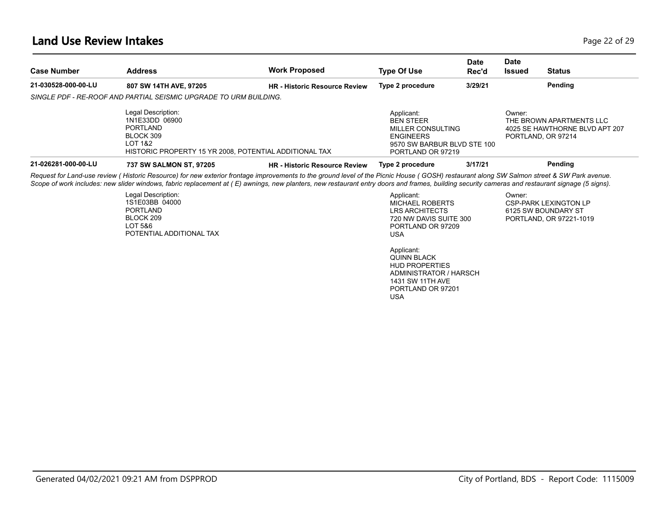### **Land Use Review Intakes** Page 22 of 29

| <b>Case Number</b>  | <b>Address</b>                                                                                                                                                                                                                                                                                                                                                                               | <b>Work Proposed</b>                 | <b>Type Of Use</b>                                                                                                          | <b>Date</b><br>Rec'd | Date<br><b>Issued</b> | <b>Status</b>                                                                    |
|---------------------|----------------------------------------------------------------------------------------------------------------------------------------------------------------------------------------------------------------------------------------------------------------------------------------------------------------------------------------------------------------------------------------------|--------------------------------------|-----------------------------------------------------------------------------------------------------------------------------|----------------------|-----------------------|----------------------------------------------------------------------------------|
| 21-030528-000-00-LU | 807 SW 14TH AVE, 97205                                                                                                                                                                                                                                                                                                                                                                       | <b>HR</b> - Historic Resource Review | Type 2 procedure                                                                                                            | 3/29/21              |                       | Pending                                                                          |
|                     | SINGLE PDF - RE-ROOF AND PARTIAL SEISMIC UPGRADE TO URM BUILDING.                                                                                                                                                                                                                                                                                                                            |                                      |                                                                                                                             |                      |                       |                                                                                  |
|                     | Legal Description:<br>1N1E33DD 06900<br><b>PORTLAND</b><br>BLOCK 309<br><b>LOT 1&amp;2</b><br>HISTORIC PROPERTY 15 YR 2008, POTENTIAL ADDITIONAL TAX                                                                                                                                                                                                                                         |                                      | Applicant:<br><b>BEN STEER</b><br>MILLER CONSULTING<br><b>ENGINEERS</b><br>9570 SW BARBUR BLVD STE 100<br>PORTLAND OR 97219 |                      | Owner:                | THE BROWN APARTMENTS LLC<br>4025 SE HAWTHORNE BLVD APT 207<br>PORTLAND, OR 97214 |
| 21-026281-000-00-LU | 737 SW SALMON ST, 97205                                                                                                                                                                                                                                                                                                                                                                      | <b>HR - Historic Resource Review</b> | Type 2 procedure                                                                                                            | 3/17/21              |                       | Pending                                                                          |
|                     | Request for Land-use review (Historic Resource) for new exterior frontage improvements to the ground level of the Picnic House (GOSH) restaurant along SW Salmon street & SW Park avenue.<br>Scope of work includes: new slider windows, fabric replacement at (E) awnings, new planters, new restaurant entry doors and frames, building security cameras and restaurant signage (5 signs). |                                      |                                                                                                                             |                      |                       |                                                                                  |
|                     | Legal Description:<br>1S1E03BB 04000<br><b>PORTLAND</b><br>BLOCK 209<br>LOT 5&6<br>POTENTIAL ADDITIONAL TAX                                                                                                                                                                                                                                                                                  |                                      | Applicant:<br><b>MICHAEL ROBERTS</b><br><b>LRS ARCHITECTS</b><br>720 NW DAVIS SUITE 300<br>PORTLAND OR 97209<br><b>USA</b>  |                      | Owner:                | <b>CSP-PARK LEXINGTON LP</b><br>6125 SW BOUNDARY ST<br>PORTLAND, OR 97221-1019   |
|                     |                                                                                                                                                                                                                                                                                                                                                                                              |                                      | Applicant:<br><b>QUINN BLACK</b><br><b>HUD PROPERTIES</b><br>ADMINISTRATOR / HARSCH                                         |                      |                       |                                                                                  |

1431 SW 11TH AVE PORTLAND OR 97201

USA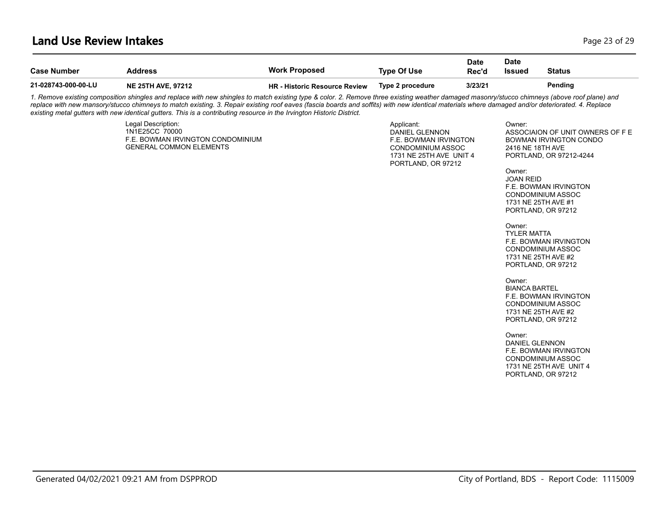### **Land Use Review Intakes** Page 23 of 29

| <b>Address</b>                                                         | <b>Work Proposed</b>          | <b>Type Of Use</b>                                                                                                                                          | Date<br>Rec'd | <b>Date</b><br><b>Issued</b>                                                                | <b>Status</b>                                                                                                                                                                                                                                                                                                                                                                                                                                                                                                                                                                         |
|------------------------------------------------------------------------|-------------------------------|-------------------------------------------------------------------------------------------------------------------------------------------------------------|---------------|---------------------------------------------------------------------------------------------|---------------------------------------------------------------------------------------------------------------------------------------------------------------------------------------------------------------------------------------------------------------------------------------------------------------------------------------------------------------------------------------------------------------------------------------------------------------------------------------------------------------------------------------------------------------------------------------|
| <b>NE 25TH AVE, 97212</b>                                              | HR - Historic Resource Review | Type 2 procedure                                                                                                                                            | 3/23/21       |                                                                                             | Pending                                                                                                                                                                                                                                                                                                                                                                                                                                                                                                                                                                               |
|                                                                        |                               |                                                                                                                                                             |               |                                                                                             |                                                                                                                                                                                                                                                                                                                                                                                                                                                                                                                                                                                       |
| Legal Description:<br>1N1E25CC 70000<br><b>GENERAL COMMON ELEMENTS</b> |                               | Applicant:<br>DANIEL GLENNON                                                                                                                                |               | Owner:<br>Owner:<br>Owner:<br>Owner:<br>Owner:                                              | ASSOCIAION OF UNIT OWNERS OF F E<br>BOWMAN IRVINGTON CONDO<br>PORTLAND, OR 97212-4244<br>F.E. BOWMAN IRVINGTON<br>CONDOMINIUM ASSOC<br>PORTLAND, OR 97212<br>F.E. BOWMAN IRVINGTON<br>CONDOMINIUM ASSOC<br>PORTLAND, OR 97212<br>F.E. BOWMAN IRVINGTON<br>CONDOMINIUM ASSOC<br>PORTLAND, OR 97212<br>F.E. BOWMAN IRVINGTON<br>CONDOMINIUM ASSOC<br>1731 NE 25TH AVE UNIT 4<br>PORTLAND, OR 97212                                                                                                                                                                                      |
|                                                                        |                               |                                                                                                                                                             |               |                                                                                             |                                                                                                                                                                                                                                                                                                                                                                                                                                                                                                                                                                                       |
|                                                                        |                               | existing metal gutters with new identical gutters. This is a contributing resource in the Irvington Historic District.<br>F.E. BOWMAN IRVINGTON CONDOMINIUM |               | F.E. BOWMAN IRVINGTON<br>CONDOMINIUM ASSOC<br>1731 NE 25TH AVE UNIT 4<br>PORTLAND, OR 97212 | 1. Remove existing composition shingles and replace with new shingles to match existing type & color. 2. Remove three existing weather damaged masonry/stucco chimneys (above roof plane) and<br>replace with new mansory/stucco chimneys to match existing. 3. Repair existing roof eaves (fascia boards and soffits) with new identical materials where damaged and/or deteriorated. 4. Replace<br>2416 NE 18TH AVE<br><b>JOAN REID</b><br>1731 NE 25TH AVE #1<br><b>TYLER MATTA</b><br>1731 NE 25TH AVE #2<br><b>BIANCA BARTEL</b><br>1731 NE 25TH AVE #2<br><b>DANIEL GLENNON</b> |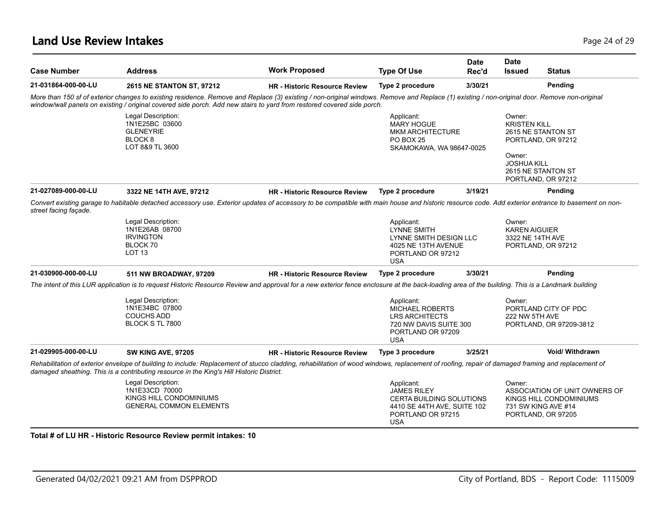| <b>Case Number</b>    | <b>Address</b>                                                                                                                                                                                                                                                                                                         | <b>Work Proposed</b>                 | <b>Type Of Use</b>                                                                                                                    | <b>Date</b><br>Rec'd | <b>Date</b><br><b>Issued</b>                                  | <b>Status</b>                                                                                         |
|-----------------------|------------------------------------------------------------------------------------------------------------------------------------------------------------------------------------------------------------------------------------------------------------------------------------------------------------------------|--------------------------------------|---------------------------------------------------------------------------------------------------------------------------------------|----------------------|---------------------------------------------------------------|-------------------------------------------------------------------------------------------------------|
| 21-031864-000-00-LU   | 2615 NE STANTON ST, 97212                                                                                                                                                                                                                                                                                              | <b>HR - Historic Resource Review</b> | Type 2 procedure                                                                                                                      | 3/30/21              |                                                               | Pending                                                                                               |
|                       | More than 150 sf of exterior changes to existing residence. Remove and Replace (3) existing / non-original windows. Remove and Replace (1) existing / non-original door. Remove non-original<br>window/wall panels on existing / original covered side porch. Add new stairs to yard from restored covered side porch. |                                      |                                                                                                                                       |                      |                                                               |                                                                                                       |
|                       | Legal Description:<br>1N1E25BC 03600<br><b>GLENEYRIE</b><br>BLOCK <sub>8</sub><br>LOT 8&9 TL 3600                                                                                                                                                                                                                      |                                      | Applicant:<br><b>MARY HOGUE</b><br><b>MKM ARCHITECTURE</b><br><b>PO BOX 25</b><br>SKAMOKAWA, WA 98647-0025                            |                      | Owner:<br><b>KRISTEN KILL</b><br>Owner:<br><b>JOSHUA KILL</b> | 2615 NE STANTON ST<br>PORTLAND, OR 97212<br>2615 NE STANTON ST<br>PORTLAND, OR 97212                  |
| 21-027089-000-00-LU   | 3322 NE 14TH AVE, 97212                                                                                                                                                                                                                                                                                                | <b>HR</b> - Historic Resource Review | Type 2 procedure                                                                                                                      | 3/19/21              |                                                               | Pending                                                                                               |
| street facing facade. | Convert existing garage to habitable detached accessory use. Exterior updates of accessory to be compatible with main house and historic resource code. Add exterior entrance to basement on non-                                                                                                                      |                                      |                                                                                                                                       |                      |                                                               |                                                                                                       |
|                       | Legal Description:<br>1N1E26AB 08700<br><b>IRVINGTON</b><br>BLOCK 70<br>LOT <sub>13</sub>                                                                                                                                                                                                                              |                                      | Applicant:<br><b>LYNNE SMITH</b><br>LYNNE SMITH DESIGN LLC<br>4025 NE 13TH AVENUE<br>PORTLAND OR 97212<br><b>USA</b>                  |                      | Owner:<br><b>KAREN AIGUIER</b><br>3322 NE 14TH AVE            | PORTLAND, OR 97212                                                                                    |
| 21-030900-000-00-LU   | 511 NW BROADWAY, 97209                                                                                                                                                                                                                                                                                                 | <b>HR - Historic Resource Review</b> | Type 2 procedure                                                                                                                      | 3/30/21              |                                                               | Pending                                                                                               |
|                       | The intent of this LUR application is to request Historic Resource Review and approval for a new exterior fence enclosure at the back-loading area of the building. This is a Landmark building                                                                                                                        |                                      |                                                                                                                                       |                      |                                                               |                                                                                                       |
|                       | Legal Description:<br>1N1E34BC 07800<br><b>COUCHS ADD</b><br>BLOCK S TL 7800                                                                                                                                                                                                                                           |                                      | Applicant:<br><b>MICHAEL ROBERTS</b><br><b>LRS ARCHITECTS</b><br>720 NW DAVIS SUITE 300<br>PORTLAND OR 97209<br><b>USA</b>            |                      | Owner:<br>222 NW 5TH AVE                                      | PORTLAND CITY OF PDC<br>PORTLAND, OR 97209-3812                                                       |
| 21-029905-000-00-LU   | <b>SW KING AVE, 97205</b>                                                                                                                                                                                                                                                                                              | <b>HR - Historic Resource Review</b> | Type 3 procedure                                                                                                                      | 3/25/21              |                                                               | <b>Void/ Withdrawn</b>                                                                                |
|                       | Rehabilitation of exterior envelope of building to include: Replacement of stucco cladding, rehabilitation of wood windows, replacement of roofing, repair of damaged framing and replacement of<br>damaged sheathing. This is a contributing resource in the King's Hill Historic District.                           |                                      |                                                                                                                                       |                      |                                                               |                                                                                                       |
|                       | Legal Description:<br>1N1E33CD 70000<br>KINGS HILL CONDOMINIUMS<br><b>GENERAL COMMON ELEMENTS</b>                                                                                                                                                                                                                      |                                      | Applicant:<br><b>JAMES RILEY</b><br><b>CERTA BUILDING SOLUTIONS</b><br>4410 SE 44TH AVE, SUITE 102<br>PORTLAND OR 97215<br><b>USA</b> |                      | Owner:                                                        | ASSOCIATION OF UNIT OWNERS OF<br>KINGS HILL CONDOMINIUMS<br>731 SW KING AVE #14<br>PORTLAND, OR 97205 |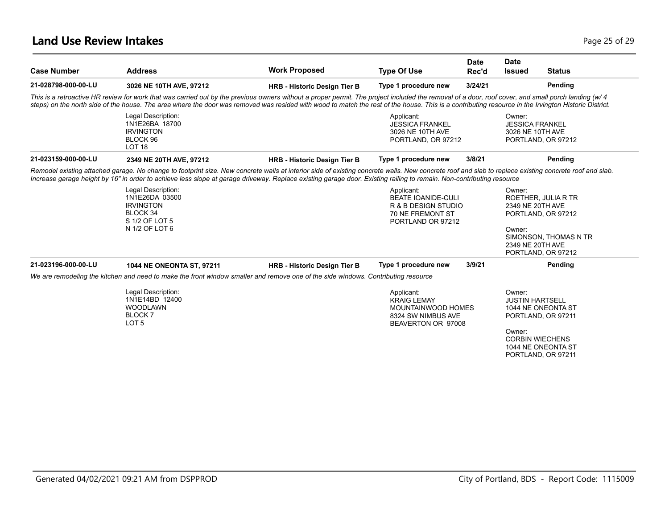### **Land Use Review Intakes** Page 25 of 29

| <b>Case Number</b>  | <b>Address</b>                                                                                                                                                                                                                                                                                                                                                                                              | <b>Work Proposed</b>                | <b>Type Of Use</b>                                                                                      | <b>Date</b><br>Rec'd | <b>Date</b><br><b>Issued</b>                                                                                     | <b>Status</b>         |
|---------------------|-------------------------------------------------------------------------------------------------------------------------------------------------------------------------------------------------------------------------------------------------------------------------------------------------------------------------------------------------------------------------------------------------------------|-------------------------------------|---------------------------------------------------------------------------------------------------------|----------------------|------------------------------------------------------------------------------------------------------------------|-----------------------|
| 21-028798-000-00-LU | 3026 NE 10TH AVE, 97212                                                                                                                                                                                                                                                                                                                                                                                     | <b>HRB - Historic Design Tier B</b> | Type 1 procedure new                                                                                    | 3/24/21              |                                                                                                                  | Pending               |
|                     | This is a retroactive HR review for work that was carried out by the previous owners without a proper permit. The project included the removal of a door, roof cover, and small porch landing (w/ 4<br>steps) on the north side of the house. The area where the door was removed was resided with wood to match the rest of the house. This is a contributing resource in the Irvington Historic District. |                                     |                                                                                                         |                      |                                                                                                                  |                       |
|                     | Legal Description:<br>1N1E26BA 18700<br><b>IRVINGTON</b><br>BLOCK 96<br>LOT <sub>18</sub>                                                                                                                                                                                                                                                                                                                   |                                     | Applicant:<br><b>JESSICA FRANKEL</b><br>3026 NE 10TH AVE<br>PORTLAND, OR 97212                          |                      | Owner:<br><b>JESSICA FRANKEL</b><br>3026 NE 10TH AVE<br>PORTLAND, OR 97212                                       |                       |
| 21-023159-000-00-LU | 2349 NE 20TH AVE, 97212                                                                                                                                                                                                                                                                                                                                                                                     | <b>HRB - Historic Design Tier B</b> | Type 1 procedure new                                                                                    | 3/8/21               |                                                                                                                  | Pending               |
|                     | Remodel existing attached garage. No change to footprint size. New concrete walls at interior side of existing concrete walls. New concrete roof and slab to replace existing concrete roof and slab.<br>Increase garage height by 16" in order to achieve less slope at garage driveway. Replace existing garage door. Existing railing to remain. Non-contributing resource                               |                                     |                                                                                                         |                      |                                                                                                                  |                       |
|                     | Legal Description:<br>1N1E26DA 03500<br><b>IRVINGTON</b><br>BLOCK 34<br>S 1/2 OF LOT 5<br>N 1/2 OF LOT 6                                                                                                                                                                                                                                                                                                    |                                     | Applicant:<br><b>BEATE IOANIDE-CULI</b><br>R & B DESIGN STUDIO<br>70 NE FREMONT ST<br>PORTLAND OR 97212 |                      | Owner:<br>ROETHER, JULIA R TR<br>2349 NE 20TH AVE<br>PORTLAND, OR 97212<br>Owner:                                |                       |
|                     |                                                                                                                                                                                                                                                                                                                                                                                                             |                                     |                                                                                                         |                      | 2349 NE 20TH AVE<br>PORTLAND, OR 97212                                                                           | SIMONSON, THOMAS N TR |
| 21-023196-000-00-LU | 1044 NE ONEONTA ST, 97211                                                                                                                                                                                                                                                                                                                                                                                   | <b>HRB - Historic Design Tier B</b> | Type 1 procedure new                                                                                    | 3/9/21               |                                                                                                                  | Pending               |
|                     | We are remodeling the kitchen and need to make the front window smaller and remove one of the side windows. Contributing resource                                                                                                                                                                                                                                                                           |                                     |                                                                                                         |                      |                                                                                                                  |                       |
|                     | Legal Description:<br>1N1E14BD 12400<br><b>WOODLAWN</b><br><b>BLOCK 7</b><br>LOT <sub>5</sub>                                                                                                                                                                                                                                                                                                               |                                     | Applicant:<br><b>KRAIG LEMAY</b><br>MOUNTAINWOOD HOMES<br>8324 SW NIMBUS AVE<br>BEAVERTON OR 97008      |                      | Owner:<br><b>JUSTIN HARTSELL</b><br>1044 NE ONEONTA ST<br>PORTLAND, OR 97211<br>Owner:<br><b>CORBIN WIECHENS</b> |                       |
|                     |                                                                                                                                                                                                                                                                                                                                                                                                             |                                     |                                                                                                         |                      | 1044 NE ONEONTA ST<br>PORTLAND, OR 97211                                                                         |                       |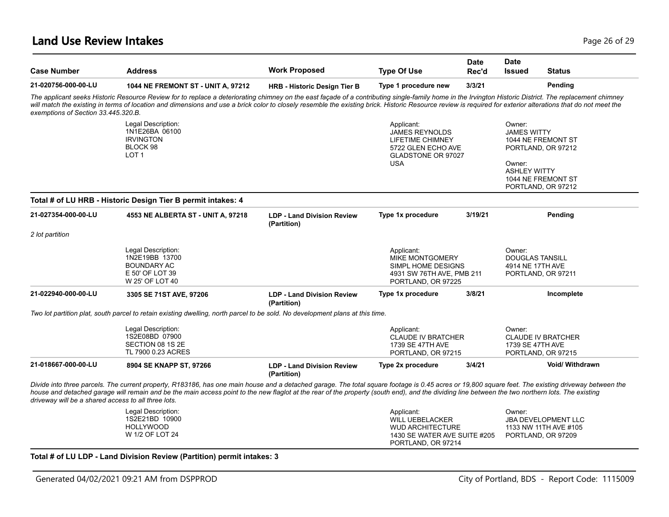#### **Land Use Review Intakes** Page 26 of 29

| <b>Case Number</b>                                  | <b>Address</b>                                                                                                                                                                                                                                                                                                                                                                                                          | <b>Work Proposed</b>                             | <b>Type Of Use</b>                                                                                                    | Date<br>Rec'd | <b>Date</b><br><b>Issued</b>                                               | <b>Status</b>                                                             |
|-----------------------------------------------------|-------------------------------------------------------------------------------------------------------------------------------------------------------------------------------------------------------------------------------------------------------------------------------------------------------------------------------------------------------------------------------------------------------------------------|--------------------------------------------------|-----------------------------------------------------------------------------------------------------------------------|---------------|----------------------------------------------------------------------------|---------------------------------------------------------------------------|
| 21-020756-000-00-LU                                 | 1044 NE FREMONT ST - UNIT A, 97212                                                                                                                                                                                                                                                                                                                                                                                      | <b>HRB - Historic Design Tier B</b>              | Type 1 procedure new                                                                                                  | 3/3/21        |                                                                            | Pending                                                                   |
| exemptions of Section 33.445.320.B.                 | The applicant seeks Historic Resource Review for to replace a deteriorating chimney on the east façade of a contributing single-family home in the Irvington Historic District. The replacement chimney<br>will match the existing in terms of location and dimensions and use a brick color to closely resemble the existing brick. Historic Resource review is required for exterior alterations that do not meet the |                                                  |                                                                                                                       |               |                                                                            |                                                                           |
|                                                     | Legal Description:<br>1N1E26BA 06100<br><b>IRVINGTON</b><br>BLOCK 98<br>LOT <sub>1</sub>                                                                                                                                                                                                                                                                                                                                |                                                  | Applicant:<br><b>JAMES REYNOLDS</b><br>LIFETIME CHIMNEY<br>5722 GLEN ECHO AVE<br><b>GLADSTONE OR 97027</b>            |               | Owner:<br><b>JAMES WITTY</b>                                               | 1044 NE FREMONT ST<br>PORTLAND, OR 97212                                  |
|                                                     |                                                                                                                                                                                                                                                                                                                                                                                                                         |                                                  | <b>USA</b>                                                                                                            |               | Owner:<br><b>ASHLEY WITTY</b>                                              | 1044 NE FREMONT ST<br>PORTLAND, OR 97212                                  |
|                                                     | Total # of LU HRB - Historic Design Tier B permit intakes: 4                                                                                                                                                                                                                                                                                                                                                            |                                                  |                                                                                                                       |               |                                                                            |                                                                           |
| 21-027354-000-00-LU                                 | 4553 NE ALBERTA ST - UNIT A, 97218                                                                                                                                                                                                                                                                                                                                                                                      | <b>LDP - Land Division Review</b><br>(Partition) | Type 1x procedure                                                                                                     | 3/19/21       |                                                                            | Pending                                                                   |
| 2 lot partition                                     |                                                                                                                                                                                                                                                                                                                                                                                                                         |                                                  |                                                                                                                       |               |                                                                            |                                                                           |
|                                                     | Legal Description:<br>1N2E19BB 13700<br><b>BOUNDARY AC</b><br>E 50' OF LOT 39<br>W 25' OF LOT 40                                                                                                                                                                                                                                                                                                                        |                                                  | Applicant:<br>MIKE MONTGOMERY<br>SIMPL HOME DESIGNS<br>4931 SW 76TH AVE, PMB 211<br>PORTLAND, OR 97225                |               | Owner:<br><b>DOUGLAS TANSILL</b><br>4914 NE 17TH AVE<br>PORTLAND, OR 97211 |                                                                           |
| 21-022940-000-00-LU                                 | 3305 SE 71ST AVE, 97206                                                                                                                                                                                                                                                                                                                                                                                                 | <b>LDP - Land Division Review</b><br>(Partition) | Type 1x procedure                                                                                                     | 3/8/21        |                                                                            | Incomplete                                                                |
|                                                     | Two lot partition plat, south parcel to retain existing dwelling, north parcel to be sold. No development plans at this time.                                                                                                                                                                                                                                                                                           |                                                  |                                                                                                                       |               |                                                                            |                                                                           |
|                                                     | Legal Description:<br>1S2E08BD 07900<br>SECTION 08 1S 2E<br>TL 7900 0.23 ACRES                                                                                                                                                                                                                                                                                                                                          |                                                  | Applicant:<br><b>CLAUDE IV BRATCHER</b><br>1739 SE 47TH AVE<br>PORTLAND, OR 97215                                     |               | Owner:<br>1739 SE 47TH AVE                                                 | <b>CLAUDE IV BRATCHER</b><br>PORTLAND, OR 97215                           |
| 21-018667-000-00-LU                                 | 8904 SE KNAPP ST, 97266                                                                                                                                                                                                                                                                                                                                                                                                 | <b>LDP - Land Division Review</b><br>(Partition) | Type 2x procedure                                                                                                     | 3/4/21        |                                                                            | <b>Void/ Withdrawn</b>                                                    |
| driveway will be a shared access to all three lots. | Divide into three parcels. The current property, R183186, has one main house and a detached garage. The total square footage is 0.45 acres or 19,800 square feet. The existing driveway between the<br>house and detached garage will remain and be the main access point to the new flaglot at the rear of the property (south end), and the dividing line between the two northern lots. The existing                 |                                                  |                                                                                                                       |               |                                                                            |                                                                           |
|                                                     | Legal Description:<br>1S2E21BD 10900<br><b>HOLLYWOOD</b><br>W 1/2 OF LOT 24                                                                                                                                                                                                                                                                                                                                             |                                                  | Applicant:<br><b>WILL UEBELACKER</b><br><b>WUD ARCHITECTURE</b><br>1430 SE WATER AVE SUITE #205<br>PORTLAND, OR 97214 |               | Owner:                                                                     | <b>JBA DEVELOPMENT LLC</b><br>1133 NW 11TH AVE #105<br>PORTLAND, OR 97209 |

**Total # of LU LDP - Land Division Review (Partition) permit intakes: 3**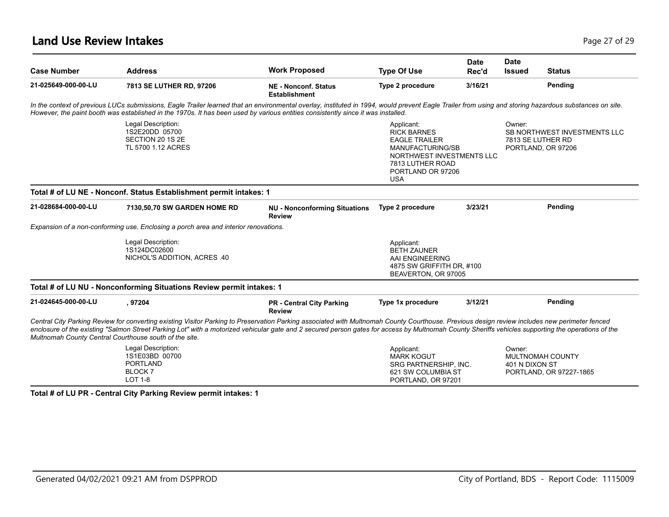### **Land Use Review Intakes** Page 27 of 29

| <b>Case Number</b>  | <b>Address</b>                                                                                                                                                                                                                                                                                                                                                                                                                                                | <b>Work Proposed</b>                                  | <b>Type Of Use</b>                                                                                                                                               | <b>Date</b><br>Rec'd | <b>Date</b><br><b>Issued</b> | <b>Status</b>                                                           |
|---------------------|---------------------------------------------------------------------------------------------------------------------------------------------------------------------------------------------------------------------------------------------------------------------------------------------------------------------------------------------------------------------------------------------------------------------------------------------------------------|-------------------------------------------------------|------------------------------------------------------------------------------------------------------------------------------------------------------------------|----------------------|------------------------------|-------------------------------------------------------------------------|
| 21-025649-000-00-LU | 7813 SE LUTHER RD, 97206                                                                                                                                                                                                                                                                                                                                                                                                                                      | <b>NE - Nonconf. Status</b><br><b>Establishment</b>   | Type 2 procedure                                                                                                                                                 | 3/16/21              |                              | Pending                                                                 |
|                     | In the context of previous LUCs submissions, Eagle Trailer learned that an environmental overlay, instituted in 1994, would prevent Eagle Trailer from using and storing hazardous substances on site.<br>However, the paint booth was established in the 1970s. It has been used by various entities consistently since it was installed.                                                                                                                    |                                                       |                                                                                                                                                                  |                      |                              |                                                                         |
|                     | Legal Description:<br>1S2E20DD 05700<br>SECTION 20 1S 2E<br>TL 5700 1.12 ACRES                                                                                                                                                                                                                                                                                                                                                                                |                                                       | Applicant:<br><b>RICK BARNES</b><br><b>EAGLE TRAILER</b><br>MANUFACTURING/SB<br>NORTHWEST INVESTMENTS LLC<br>7813 LUTHER ROAD<br>PORTLAND OR 97206<br><b>USA</b> |                      | Owner:                       | SB NORTHWEST INVESTMENTS LLC<br>7813 SE LUTHER RD<br>PORTLAND, OR 97206 |
|                     | Total # of LU NE - Nonconf. Status Establishment permit intakes: 1                                                                                                                                                                                                                                                                                                                                                                                            |                                                       |                                                                                                                                                                  |                      |                              |                                                                         |
| 21-028684-000-00-LU | 7130,50,70 SW GARDEN HOME RD                                                                                                                                                                                                                                                                                                                                                                                                                                  | <b>NU - Nonconforming Situations</b><br><b>Review</b> | Type 2 procedure                                                                                                                                                 | 3/23/21              |                              | Pending                                                                 |
|                     | Expansion of a non-conforming use. Enclosing a porch area and interior renovations.                                                                                                                                                                                                                                                                                                                                                                           |                                                       |                                                                                                                                                                  |                      |                              |                                                                         |
|                     | Legal Description:<br>1S124DC02600<br>NICHOL'S ADDITION, ACRES .40                                                                                                                                                                                                                                                                                                                                                                                            |                                                       | Applicant:<br><b>BETH ZAUNER</b><br>AAI ENGINEERING<br>4875 SW GRIFFITH DR, #100<br>BEAVERTON, OR 97005                                                          |                      |                              |                                                                         |
|                     | Total # of LU NU - Nonconforming Situations Review permit intakes: 1                                                                                                                                                                                                                                                                                                                                                                                          |                                                       |                                                                                                                                                                  |                      |                              |                                                                         |
| 21-024645-000-00-LU | , 97204                                                                                                                                                                                                                                                                                                                                                                                                                                                       | <b>PR - Central City Parking</b><br><b>Review</b>     | Type 1x procedure                                                                                                                                                | 3/12/21              |                              | Pending                                                                 |
|                     | Central City Parking Review for converting existing Visitor Parking to Preservation Parking associated with Multnomah County Courthouse. Previous design review includes new perimeter fenced<br>enclosure of the existing "Salmon Street Parking Lot" with a motorized vehicular gate and 2 secured person gates for access by Multnomah County Sheriffs vehicles supporting the operations of the<br>Multnomah County Central Courthouse south of the site. |                                                       |                                                                                                                                                                  |                      |                              |                                                                         |
|                     | Legal Description:<br>1S1E03BD 00700<br><b>PORTLAND</b><br>BLOCK <sub>7</sub><br><b>LOT 1-8</b>                                                                                                                                                                                                                                                                                                                                                               |                                                       | Applicant:<br><b>MARK KOGUT</b><br>SRG PARTNERSHIP. INC.<br>621 SW COLUMBIA ST<br>PORTLAND, OR 97201                                                             |                      | Owner:<br>401 N DIXON ST     | MULTNOMAH COUNTY<br>PORTLAND, OR 97227-1865                             |

**Total # of LU PR - Central City Parking Review permit intakes: 1**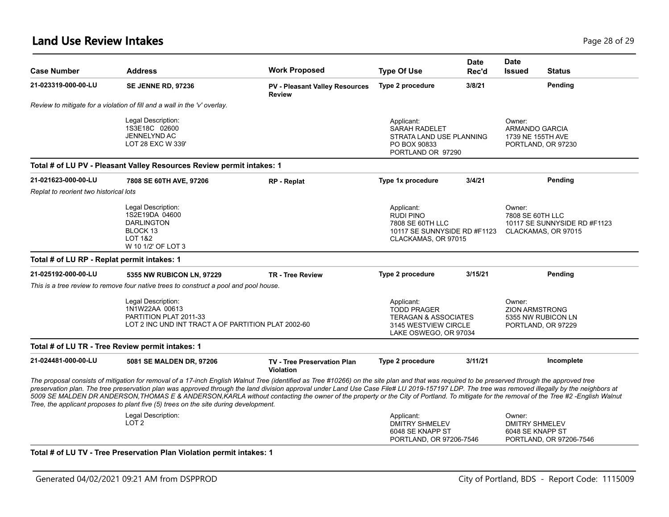### **Land Use Review Intakes** Page 28 of 29

| <b>Case Number</b>                          | <b>Address</b>                                                                                                                                                                                                                                                                                                                                                                                                                                                                                                                                                                                                                                                                     | <b>Work Proposed</b>                                   | <b>Type Of Use</b>                                                                                                   | <b>Date</b><br>Rec'd | <b>Date</b><br><b>Issued</b><br><b>Status</b>                                     |
|---------------------------------------------|------------------------------------------------------------------------------------------------------------------------------------------------------------------------------------------------------------------------------------------------------------------------------------------------------------------------------------------------------------------------------------------------------------------------------------------------------------------------------------------------------------------------------------------------------------------------------------------------------------------------------------------------------------------------------------|--------------------------------------------------------|----------------------------------------------------------------------------------------------------------------------|----------------------|-----------------------------------------------------------------------------------|
| 21-023319-000-00-LU                         | <b>SE JENNE RD, 97236</b>                                                                                                                                                                                                                                                                                                                                                                                                                                                                                                                                                                                                                                                          | <b>PV - Pleasant Valley Resources</b><br><b>Review</b> | Type 2 procedure                                                                                                     | 3/8/21               | Pending                                                                           |
|                                             | Review to mitigate for a violation of fill and a wall in the 'v' overlay.                                                                                                                                                                                                                                                                                                                                                                                                                                                                                                                                                                                                          |                                                        |                                                                                                                      |                      |                                                                                   |
|                                             | Legal Description:<br>1S3E18C 02600<br><b>JENNELYND AC</b><br>LOT 28 EXC W 339'                                                                                                                                                                                                                                                                                                                                                                                                                                                                                                                                                                                                    |                                                        | Applicant:<br><b>SARAH RADELET</b><br>STRATA LAND USE PLANNING<br>PO BOX 90833<br>PORTLAND OR 97290                  |                      | Owner:<br>ARMANDO GARCIA<br>1739 NE 155TH AVE<br>PORTLAND, OR 97230               |
|                                             | Total # of LU PV - Pleasant Valley Resources Review permit intakes: 1                                                                                                                                                                                                                                                                                                                                                                                                                                                                                                                                                                                                              |                                                        |                                                                                                                      |                      |                                                                                   |
| 21-021623-000-00-LU                         | 7808 SE 60TH AVE, 97206                                                                                                                                                                                                                                                                                                                                                                                                                                                                                                                                                                                                                                                            | RP - Replat                                            | Type 1x procedure                                                                                                    | 3/4/21               | Pending                                                                           |
| Replat to reorient two historical lots      |                                                                                                                                                                                                                                                                                                                                                                                                                                                                                                                                                                                                                                                                                    |                                                        |                                                                                                                      |                      |                                                                                   |
|                                             | Legal Description:<br>1S2E19DA 04600<br><b>DARLINGTON</b><br>BLOCK 13<br><b>LOT 1&amp;2</b><br>W 10 1/2' OF LOT 3                                                                                                                                                                                                                                                                                                                                                                                                                                                                                                                                                                  |                                                        | Applicant:<br><b>RUDI PINO</b><br>7808 SE 60TH LLC<br>10117 SE SUNNYSIDE RD #F1123<br>CLACKAMAS, OR 97015            |                      | Owner:<br>7808 SE 60TH LLC<br>10117 SE SUNNYSIDE RD #F1123<br>CLACKAMAS, OR 97015 |
| Total # of LU RP - Replat permit intakes: 1 |                                                                                                                                                                                                                                                                                                                                                                                                                                                                                                                                                                                                                                                                                    |                                                        |                                                                                                                      |                      |                                                                                   |
| 21-025192-000-00-LU                         | 5355 NW RUBICON LN, 97229                                                                                                                                                                                                                                                                                                                                                                                                                                                                                                                                                                                                                                                          | <b>TR - Tree Review</b>                                | Type 2 procedure                                                                                                     | 3/15/21              | Pending                                                                           |
|                                             | This is a tree review to remove four native trees to construct a pool and pool house.                                                                                                                                                                                                                                                                                                                                                                                                                                                                                                                                                                                              |                                                        |                                                                                                                      |                      |                                                                                   |
|                                             | Legal Description:<br>1N1W22AA 00613<br>PARTITION PLAT 2011-33<br>LOT 2 INC UND INT TRACT A OF PARTITION PLAT 2002-60                                                                                                                                                                                                                                                                                                                                                                                                                                                                                                                                                              |                                                        | Applicant:<br><b>TODD PRAGER</b><br><b>TERAGAN &amp; ASSOCIATES</b><br>3145 WESTVIEW CIRCLE<br>LAKE OSWEGO, OR 97034 |                      | Owner:<br><b>ZION ARMSTRONG</b><br>5355 NW RUBICON LN<br>PORTLAND, OR 97229       |
|                                             | Total # of LU TR - Tree Review permit intakes: 1                                                                                                                                                                                                                                                                                                                                                                                                                                                                                                                                                                                                                                   |                                                        |                                                                                                                      |                      |                                                                                   |
| 21-024481-000-00-LU                         | 5081 SE MALDEN DR, 97206                                                                                                                                                                                                                                                                                                                                                                                                                                                                                                                                                                                                                                                           | <b>TV - Tree Preservation Plan</b><br>Violation        | Type 2 procedure                                                                                                     | 3/11/21              | Incomplete                                                                        |
|                                             | The proposal consists of mitigation for removal of a 17-inch English Walnut Tree (identified as Tree #10266) on the site plan and that was required to be preserved through the approved tree<br>preservation plan. The tree preservation plan was approved through the land division approval under Land Use Case File# LU 2019-157197 LDP. The tree was removed illegally by the neighbors at<br>5009 SE MALDEN DR ANDERSON, THOMAS E & ANDERSON, KARLA without contacting the owner of the property or the City of Portland. To mitigate for the removal of the Tree #2 -English Walnut<br>Tree, the applicant proposes to plant five (5) trees on the site during development. |                                                        |                                                                                                                      |                      |                                                                                   |
|                                             | Legal Description:<br>LOT <sub>2</sub>                                                                                                                                                                                                                                                                                                                                                                                                                                                                                                                                                                                                                                             |                                                        | Applicant:<br><b>DMITRY SHMELEV</b><br>6048 SE KNAPP ST<br>PORTLAND, OR 97206-7546                                   |                      | Owner:<br><b>DMITRY SHMELEV</b><br>6048 SE KNAPP ST<br>PORTLAND, OR 97206-7546    |